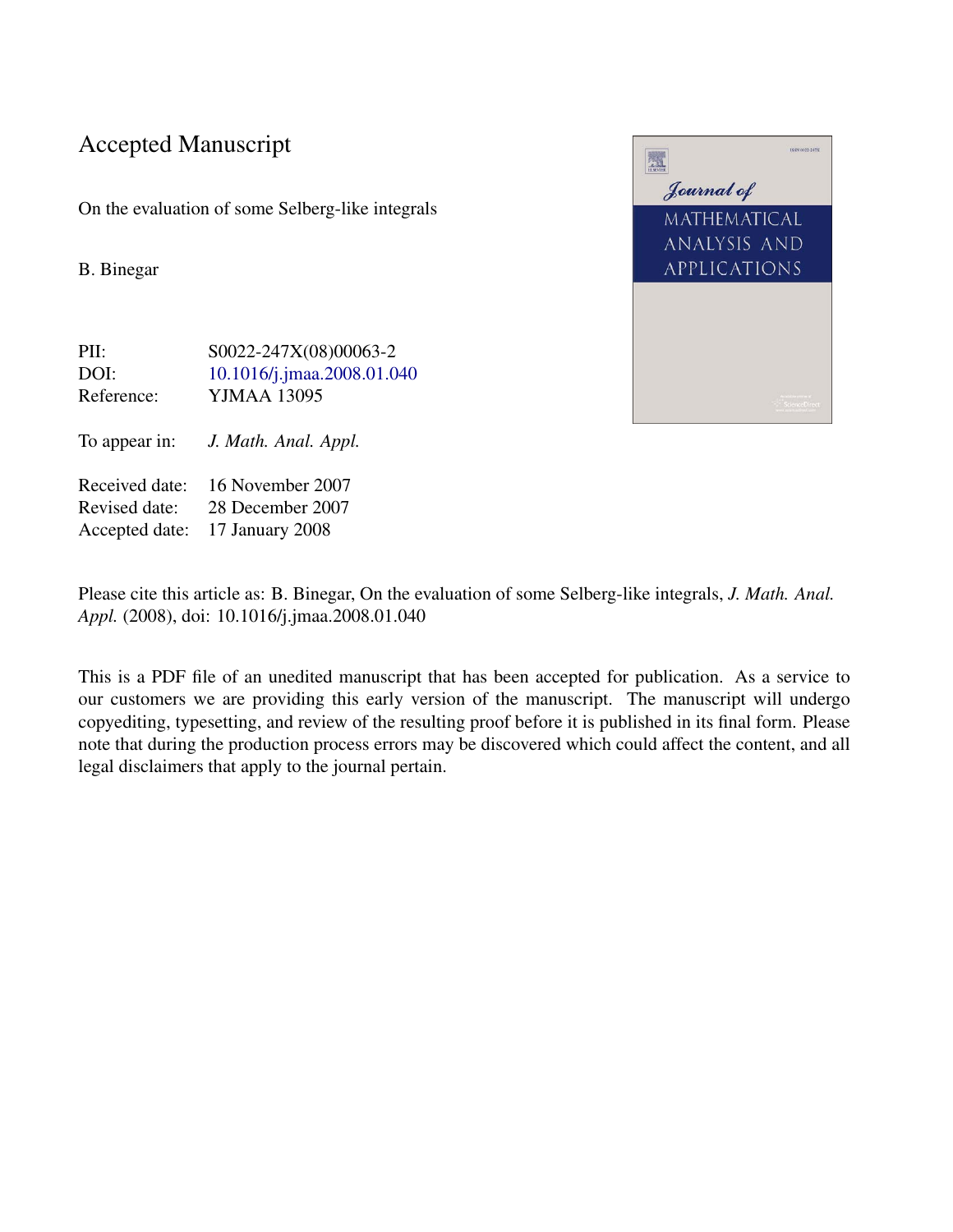#### Accepted Manuscript

On the evaluation of some Selberg-like integrals

B. Binegar

PII: S0022-247X(08)00063-2 DOI: [10.1016/j.jmaa.2008.01.040](http://dx.doi.org/10.1016/j.jmaa.2008.01.040) Reference: YJMAA 13095 To appear in: *J. Math. Anal. Appl.* Received date: 16 November 2007 Revised date: 28 December 2007 Accepted date: 17 January 2008

國 Journal of MATHEMATICAL ANALYSIS AND **APPLICATIONS** 

Please cite this article as: B. Binegar, On the evaluation of some Selberg-like integrals, *J. Math. Anal. Appl.* (2008), doi: 10.1016/j.jmaa.2008.01.040

This is a PDF file of an unedited manuscript that has been accepted for publication. As a service to our customers we are providing this early version of the manuscript. The manuscript will undergo copyediting, typesetting, and review of the resulting proof before it is published in its final form. Please note that during the production process errors may be discovered which could affect the content, and all legal disclaimers that apply to the journal pertain.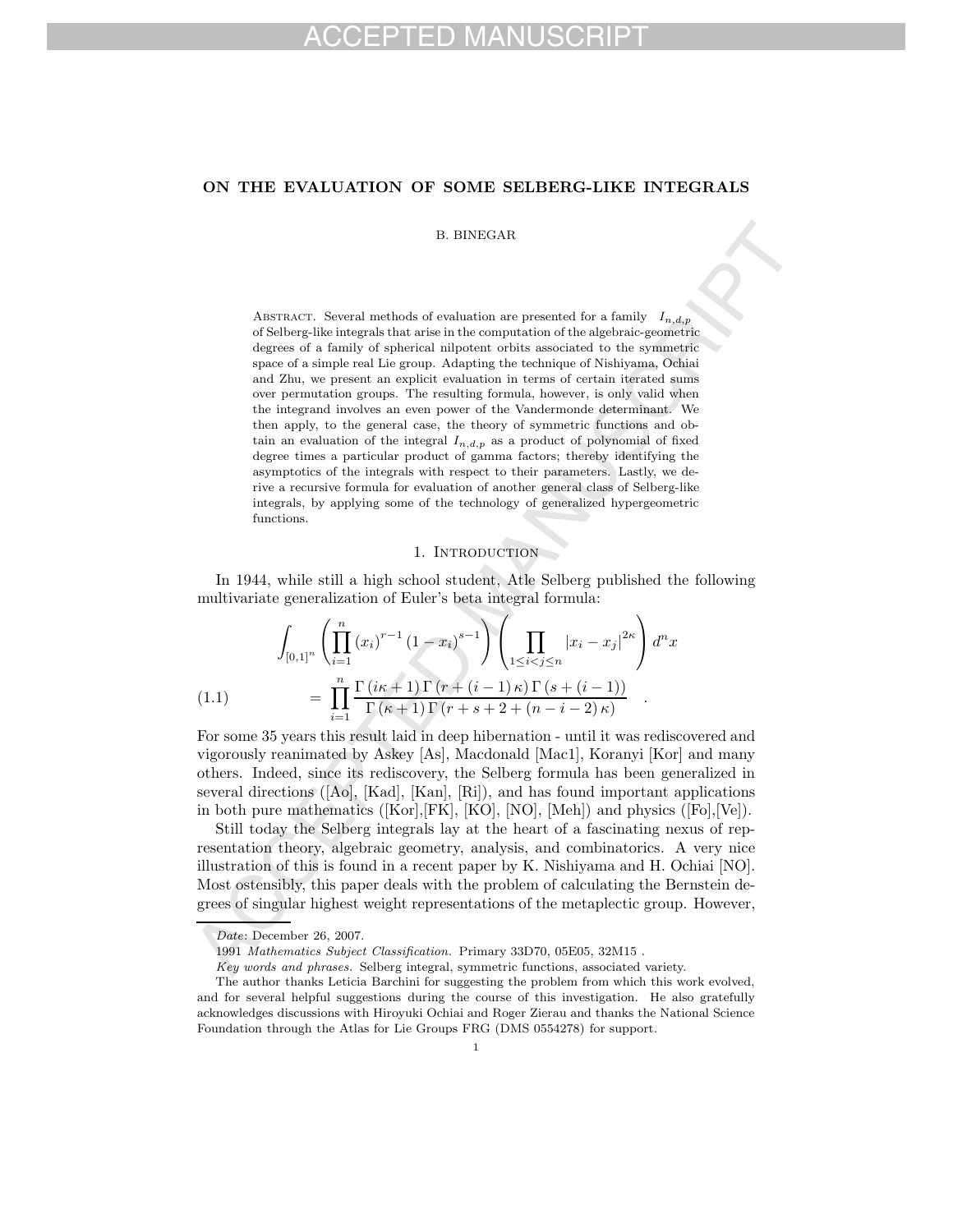#### **ON THE EVALUATION OF SOME SELBERG-LIKE INTEGRALS**

#### B. BINEGAR

B. BINEGAR<br>
Mastatacy: Several methods of evaluation are passented for a family<br> $I_{n,d,p}$  of Scherical entergents in strict in the current<br>state of signator of a family of spherical alipotent of<br>this associated to the symm ABSTRACT. Several methods of evaluation are presented for a family  $I_{n,d,p}$ of Selberg-like integrals that arise in the computation of the algebraic-geometric degrees of a family of spherical nilpotent orbits associated to the symmetric space of a simple real Lie group. Adapting the technique of Nishiyama, Ochiai and Zhu, we present an explicit evaluation in terms of certain iterated sums over permutation groups. The resulting formula, however, is only valid when the integrand involves an even power of the Vandermonde determinant. We then apply, to the general case, the theory of symmetric functions and obtain an evaluation of the integral  $I_{n,d,p}$  as a product of polynomial of fixed degree times a particular product of gamma factors; thereby identifying the asymptotics of the integrals with respect to their parameters. Lastly, we derive a recursive formula for evaluation of another general class of Selberg-like integrals, by applying some of the technology of generalized hypergeometric functions.

#### 1. INTRODUCTION

In 1944, while still a high school student, Atle Selberg published the following multivariate generalization of Euler's beta integral formula:

$$
\int_{[0,1]^n} \left( \prod_{i=1}^n (x_i)^{r-1} (1-x_i)^{s-1} \right) \left( \prod_{1 \le i < j \le n} |x_i - x_j|^{2\kappa} \right) d^n x
$$
\n
$$
= \prod_{i=1}^n \frac{\Gamma(i\kappa + 1) \Gamma(r + (i-1)\kappa) \Gamma(s + (i-1))}{\Gamma(\kappa + 1) \Gamma(r + s + 2 + (n - i - 2)\kappa)} .
$$

For some 35 years this result laid in deep hibernation - until it was rediscovered and vigorously reanimated by Askey [As], Macdonald [Mac1], Koranyi [Kor] and many others. Indeed, since its rediscovery, the Selberg formula has been generalized in several directions ( $[Ao]$ ,  $[Kad]$ ,  $[Kan]$ ,  $[Ri]$ ), and has found important applications in both pure mathematics ([Kor],[FK], [KO], [NO], [Meh]) and physics ([Fo],[Ve]).

Still today the Selberg integrals lay at the heart of a fascinating nexus of representation theory, algebraic geometry, analysis, and combinatorics. A very nice illustration of this is found in a recent paper by K. Nishiyama and H. Ochiai [NO]. Most ostensibly, this paper deals with the problem of calculating the Bernstein degrees of singular highest weight representations of the metaplectic group. However,

Date: December 26, 2007.

<sup>1991</sup> Mathematics Subject Classification. Primary 33D70, 05E05, 32M15 .

Key words and phrases. Selberg integral, symmetric functions, associated variety.

The author thanks Leticia Barchini for suggesting the problem from which this work evolved, and for several helpful suggestions during the course of this investigation. He also gratefully acknowledges discussions with Hiroyuki Ochiai and Roger Zierau and thanks the National Science Foundation through the Atlas for Lie Groups FRG (DMS 0554278) for support.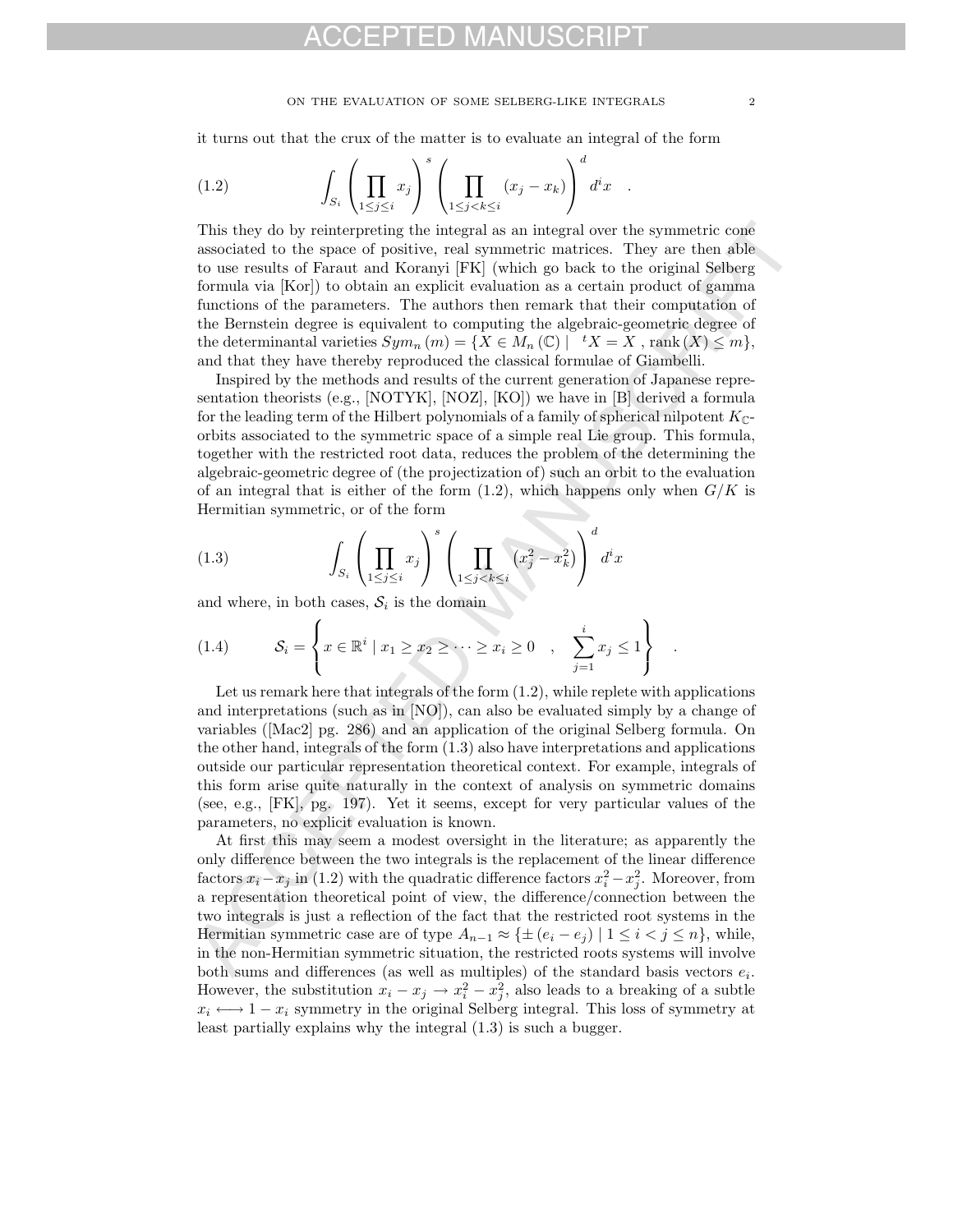#### ON THE EVALUATION OF SOME SELBERG-LIKE INTEGRALS  $\hspace{0.2cm}$   $\hspace{0.2cm}$   $\hspace{0.2cm}$

it turns out that the crux of the matter is to evaluate an integral of the form

(1.2) 
$$
\int_{S_i} \left( \prod_{1 \leq j \leq i} x_j \right)^s \left( \prod_{1 \leq j < k \leq i} (x_j - x_k) \right)^d d^i x .
$$

This they do by veinte<br>previolg the integral as an integral axe minimatric consistence the symmetric consistence associated to the space of positive, real symmetric matrices. They are then able<br>associated to the explicit This they do by reinterpreting the integral as an integral over the symmetric cone associated to the space of positive, real symmetric matrices. They are then able to use results of Faraut and Koranyi [FK] (which go back to the original Selberg formula via [Kor]) to obtain an explicit evaluation as a certain product of gamma functions of the parameters. The authors then remark that their computation of the Bernstein degree is equivalent to computing the algebraic-geometric degree of the determinantal varieties  $Sym_n(m) = \{ X \in M_n(\mathbb{C}) \mid tX = X \text{, } rank(X) \leq m \},$ and that they have thereby reproduced the classical formulae of Giambelli.

Inspired by the methods and results of the current generation of Japanese representation theorists (e.g., [NOTYK], [NOZ], [KO]) we have in [B] derived a formula for the leading term of the Hilbert polynomials of a family of spherical nilpotent  $K_{\mathbb{C}}$ orbits associated to the symmetric space of a simple real Lie group. This formula, together with the restricted root data, reduces the problem of the determining the algebraic-geometric degree of (the projectization of) such an orbit to the evaluation of an integral that is either of the form  $(1.2)$ , which happens only when  $G/K$  is Hermitian symmetric, or of the form

(1.3) 
$$
\int_{S_i} \left( \prod_{1 \leq j \leq i} x_j \right)^s \left( \prod_{1 \leq j < k \leq i} \left( x_j^2 - x_k^2 \right) \right)^d dx
$$

and where, in both cases,  $S_i$  is the domain

(1.4) 
$$
\mathcal{S}_i = \left\{ x \in \mathbb{R}^i \mid x_1 \geq x_2 \geq \cdots \geq x_i \geq 0 \quad , \quad \sum_{j=1}^i x_j \leq 1 \right\} .
$$

Let us remark here that integrals of the form  $(1.2)$ , while replete with applications and interpretations (such as in [NO]), can also be evaluated simply by a change of variables ([Mac2] pg. 286) and an application of the original Selberg formula. On the other hand, integrals of the form (1.3) also have interpretations and applications outside our particular representation theoretical context. For example, integrals of this form arise quite naturally in the context of analysis on symmetric domains (see, e.g., [FK], pg. 197). Yet it seems, except for very particular values of the parameters, no explicit evaluation is known.

At first this may seem a modest oversight in the literature; as apparently the only difference between the two integrals is the replacement of the linear difference factors  $x_i - x_j$  in (1.2) with the quadratic difference factors  $x_i^2 - x_j^2$ . Moreover, from a representation theoretical point of view, the difference/connection between the two integrals is just a reflection of the fact that the restricted root systems in the Hermitian symmetric case are of type  $A_{n-1} \approx {\{\pm (e_i - e_j) | 1 \le i \le j \le n\}}$ , while, in the non-Hermitian symmetric situation, the restricted roots systems will involve both sums and differences (as well as multiples) of the standard basis vectors  $e_i$ . However, the substitution  $x_i - x_j \rightarrow x_i^2 - x_j^2$ , also leads to a breaking of a subtle  $x_i \longleftrightarrow 1-x_i$  symmetry in the original Selberg integral. This loss of symmetry at least partially explains why the integral (1.3) is such a bugger.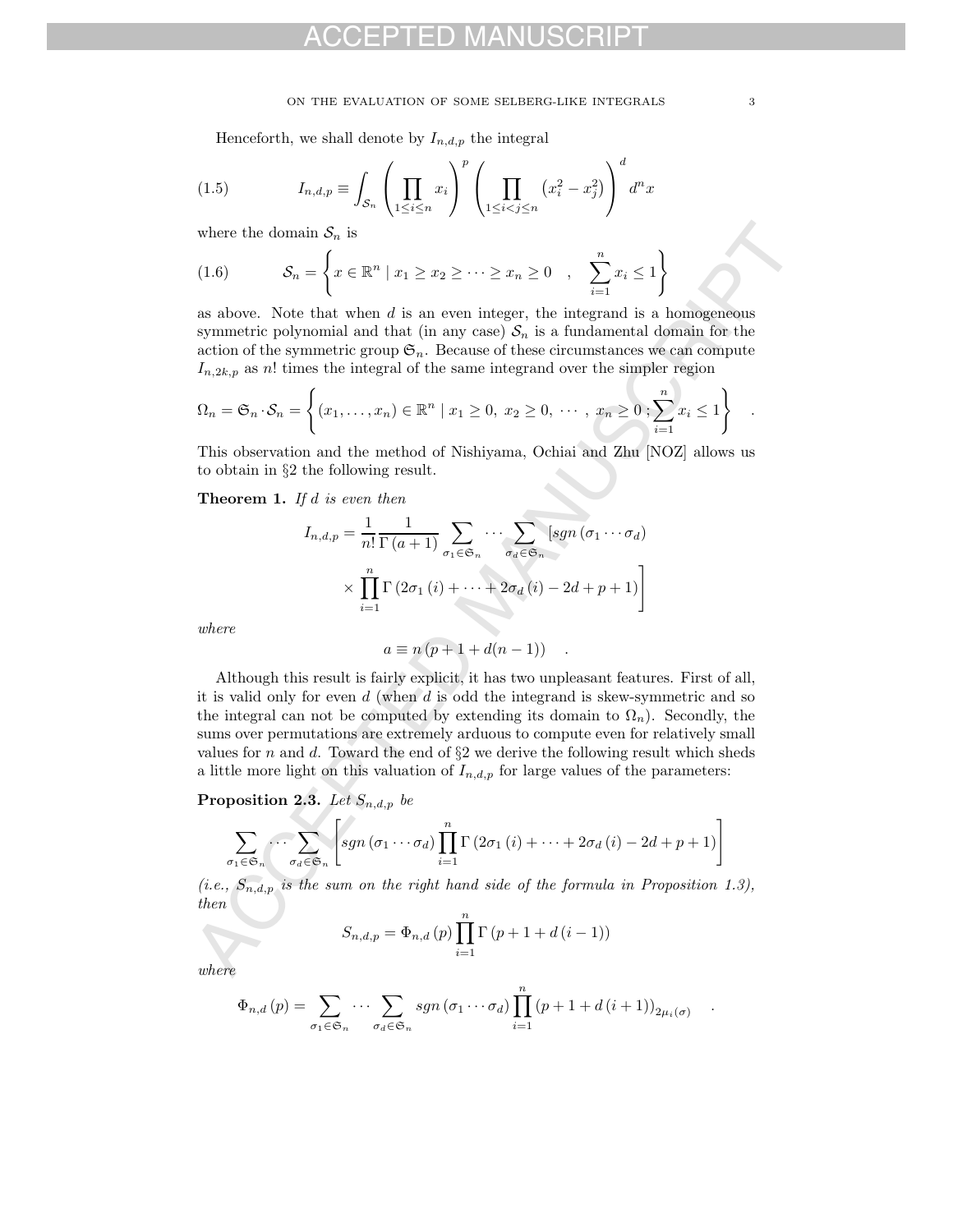#### ON THE EVALUATION OF SOME SELBERG-LIKE INTEGRALS  $\qquad \qquad \, 3$

Henceforth, we shall denote by  $I_{n,d,p}$  the integral

(1.5) 
$$
I_{n,d,p} \equiv \int_{\mathcal{S}_n} \left( \prod_{1 \leq i \leq n} x_i \right)^p \left( \prod_{1 \leq i < j \leq n} \left( x_i^2 - x_j^2 \right) \right)^d d^n x
$$

where the domain  $S_n$  is

(1.6) 
$$
\mathcal{S}_n = \left\{ x \in \mathbb{R}^n \mid x_1 \ge x_2 \ge \dots \ge x_n \ge 0 , \sum_{i=1}^n x_i \le 1 \right\}
$$

as above. Note that when  $d$  is an even integer, the integrand is a homogeneous symmetric polynomial and that (in any case)  $S_n$  is a fundamental domain for the action of the symmetric group  $\mathfrak{S}_n$ . Because of these circumstances we can compute  $I_{n,2k,p}$  as n! times the integral of the same integrand over the simpler region

$$
\Omega_n = \mathfrak{S}_n \cdot \mathcal{S}_n = \left\{ (x_1, \dots, x_n) \in \mathbb{R}^n \mid x_1 \ge 0, x_2 \ge 0, \dots, x_n \ge 0; \sum_{i=1}^n x_i \le 1 \right\}
$$

This observation and the method of Nishiyama, Ochiai and Zhu [NOZ] allows us to obtain in §2 the following result.

**Theorem 1.** If d is even then

$$
I_{n,d,p} = \frac{1}{n!} \frac{1}{\Gamma(a+1)} \sum_{\sigma_1 \in \mathfrak{S}_n} \cdots \sum_{\sigma_d \in \mathfrak{S}_n} [sgn(\sigma_1 \cdots \sigma_d)]
$$

$$
\times \prod_{i=1}^n \Gamma(2\sigma_1(i) + \cdots + 2\sigma_d(i) - 2d + p + 1)]
$$

where

$$
a \equiv n (p + 1 + d(n - 1)) \quad .
$$

where the demain  $S_n$  is<br>  $S_n = \left\{ x \in \mathbb{R}^n \mid x_1 \ge x_2 \ge \cdots \ge x_n \ge 0 \right.$ ,  $\sum_{i=1}^n x_i \le 1 \right\}$ <br>
as above. Note that when  $d$  is an even integer, the integrand is a homogeneous<br>
symmetric group can be summertic polyonical Although this result is fairly explicit, it has two unpleasant features. First of all, it is valid only for even  $d$  (when  $d$  is odd the integrand is skew-symmetric and so the integral can not be computed by extending its domain to  $\Omega_n$ ). Secondly, the sums over permutations are extremely arduous to compute even for relatively small values for n and d. Toward the end of  $\S2$  we derive the following result which sheds a little more light on this valuation of  $I_{n,d,p}$  for large values of the parameters:

**Proposition 2.3.** Let  $S_{n,d,p}$  be

$$
\sum_{\sigma_1 \in \mathfrak{S}_n} \cdots \sum_{\sigma_d \in \mathfrak{S}_n} \left[ sgn \left( \sigma_1 \cdots \sigma_d \right) \prod_{i=1}^n \Gamma \left( 2 \sigma_1 \left( i \right) + \cdots + 2 \sigma_d \left( i \right) - 2d + p + 1 \right) \right]
$$

(i.e.,  $S_{n,d,p}$  is the sum on the right hand side of the formula in Proposition 1.3), then

$$
S_{n,d,p} = \Phi_{n,d}(p) \prod_{i=1}^{n} \Gamma(p+1+d(i-1))
$$

where

$$
\Phi_{n,d}(p) = \sum_{\sigma_1 \in \mathfrak{S}_n} \cdots \sum_{\sigma_d \in \mathfrak{S}_n} sgn(\sigma_1 \cdots \sigma_d) \prod_{i=1}^n (p+1+d(i+1))_{2\mu_i(\sigma)} \quad .
$$

.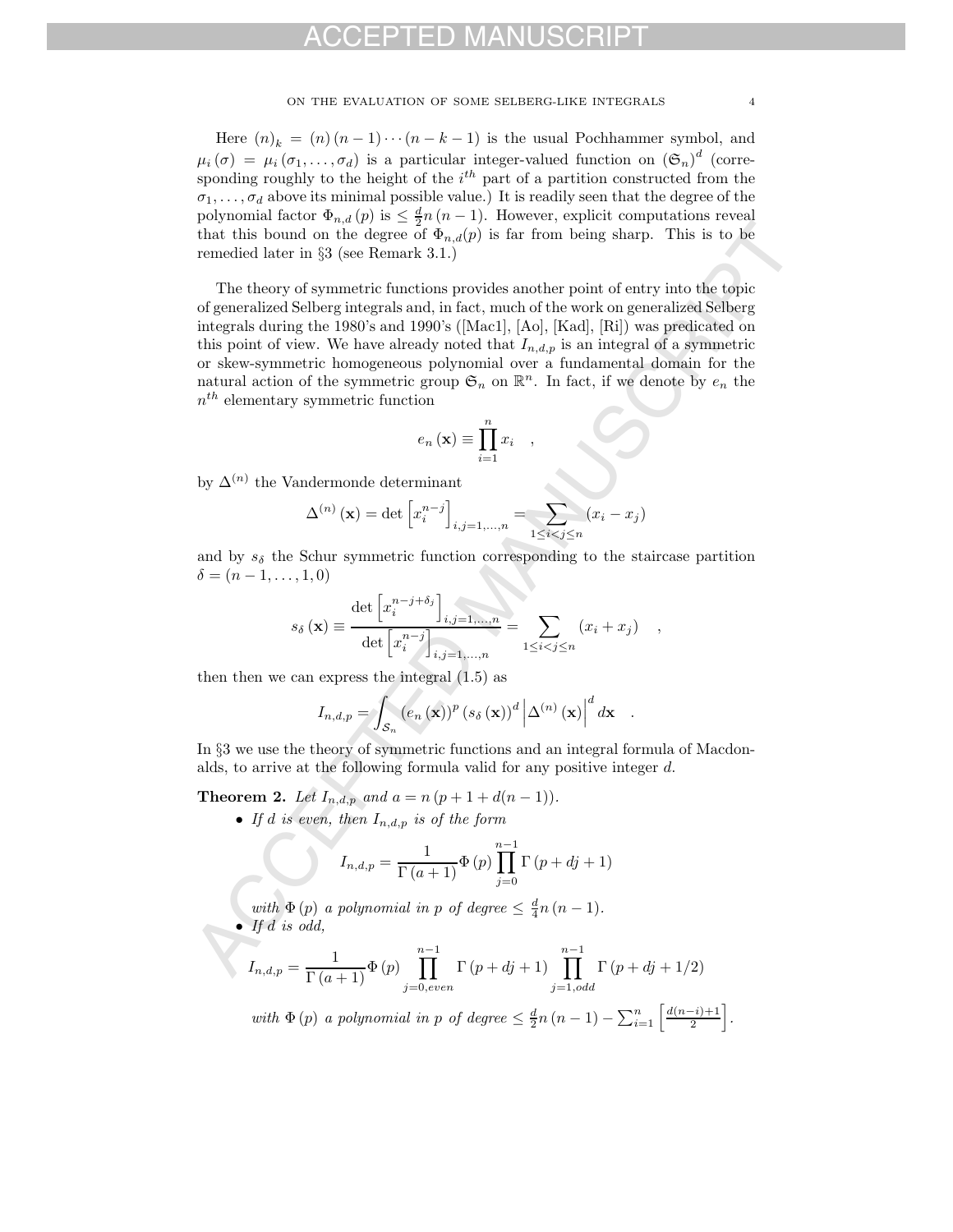ON THE EVALUATION OF SOME SELBERG-LIKE INTEGRALS  $\hfill 4$ 

Here  $(n)_k = (n)(n-1)\cdots(n-k-1)$  is the usual Pochhammer symbol, and  $\mu_i(\sigma) = \mu_i(\sigma_1,\ldots,\sigma_d)$  is a particular integer-valued function on  $(\mathfrak{S}_n)^d$  (corresponding roughly to the height of the  $i<sup>th</sup>$  part of a partition constructed from the  $\sigma_1, \ldots, \sigma_d$  above its minimal possible value.) It is readily seen that the degree of the polynomial factor  $\Phi_{n,d}(p)$  is  $\leq \frac{d}{2}n(n-1)$ . However, explicit computations reveal that this bound on the degree of  $\Phi_{n,d}(p)$  is far from being sharp. This is to be remedied later in §3 (see Remark 3.1.)

that this bound on the degree of  $\Phi_{n,d}(p)$  is the first<br>map than the degree of  $\Phi_{n,d}(p)$  is the form in this given. This is to be<br>monoided blater in 53 (see Remerk 2.1.) <br> The theory of symmetric functions provides anot The theory of symmetric functions provides another point of entry into the topic of generalized Selberg integrals and, in fact, much of the work on generalized Selberg integrals during the 1980's and 1990's ([Mac1], [Ao], [Kad], [Ri]) was predicated on this point of view. We have already noted that  $I_{n,d,p}$  is an integral of a symmetric or skew-symmetric homogeneous polynomial over a fundamental domain for the natural action of the symmetric group  $\mathfrak{S}_n$  on  $\mathbb{R}^n$ . In fact, if we denote by  $e_n$  the  $n^{th}$  elementary symmetric function

$$
e_n(\mathbf{x}) \equiv \prod_{i=1}^n x_i \quad ,
$$

by  $\Delta^{(n)}$  the Vandermonde determinant

$$
\Delta^{(n)}(\mathbf{x}) = \det \left[ x_i^{n-j} \right]_{i,j=1,...,n} = \sum_{1 \le i < j \le n} (x_i - x_j)
$$

and by  $s_{\delta}$  the Schur symmetric function corresponding to the staircase partition  $\delta = (n-1, \ldots, 1, 0)$ 

$$
s_{\delta}(\mathbf{x}) \equiv \frac{\det \left[x_i^{n-j+\delta_j}\right]_{i,j=1,...,n}}{\det \left[x_i^{n-j}\right]_{i,j=1,...,n}} = \sum_{1 \leq i < j \leq n} \left(x_i + x_j\right) ,
$$

then then we can express the integral (1.5) as

$$
I_{n,d,p} = \int_{\mathcal{S}_n} \left( e_n(\mathbf{x}) \right)^p \left( s_\delta(\mathbf{x}) \right)^d \left| \Delta^{(n)}(\mathbf{x}) \right|^d dx .
$$

In §3 we use the theory of symmetric functions and an integral formula of Macdonalds, to arrive at the following formula valid for any positive integer d.

**Theorem 2.** Let  $I_{n,d,p}$  and  $a = n (p + 1 + d(n - 1)).$ 

• If d is even, then  $I_{n,d,p}$  is of the form

$$
I_{n,d,p} = \frac{1}{\Gamma(a+1)} \Phi(p) \prod_{j=0}^{n-1} \Gamma(p+dj+1)
$$

with  $\Phi(p)$  a polynomial in p of degree  $\leq \frac{d}{4}n(n-1)$ . • If  $d$  is odd,

$$
I_{n,d,p} = \frac{1}{\Gamma(a+1)} \Phi(p) \prod_{j=0,even}^{n-1} \Gamma(p+dj+1) \prod_{j=1,odd}^{n-1} \Gamma(p+dj+1/2)
$$

with  $\Phi(p)$  a polynomial in p of degree  $\leq \frac{d}{2}n(n-1) - \sum_{i=1}^{n} \left[ \frac{d(n-i)+1}{2} \right]$ .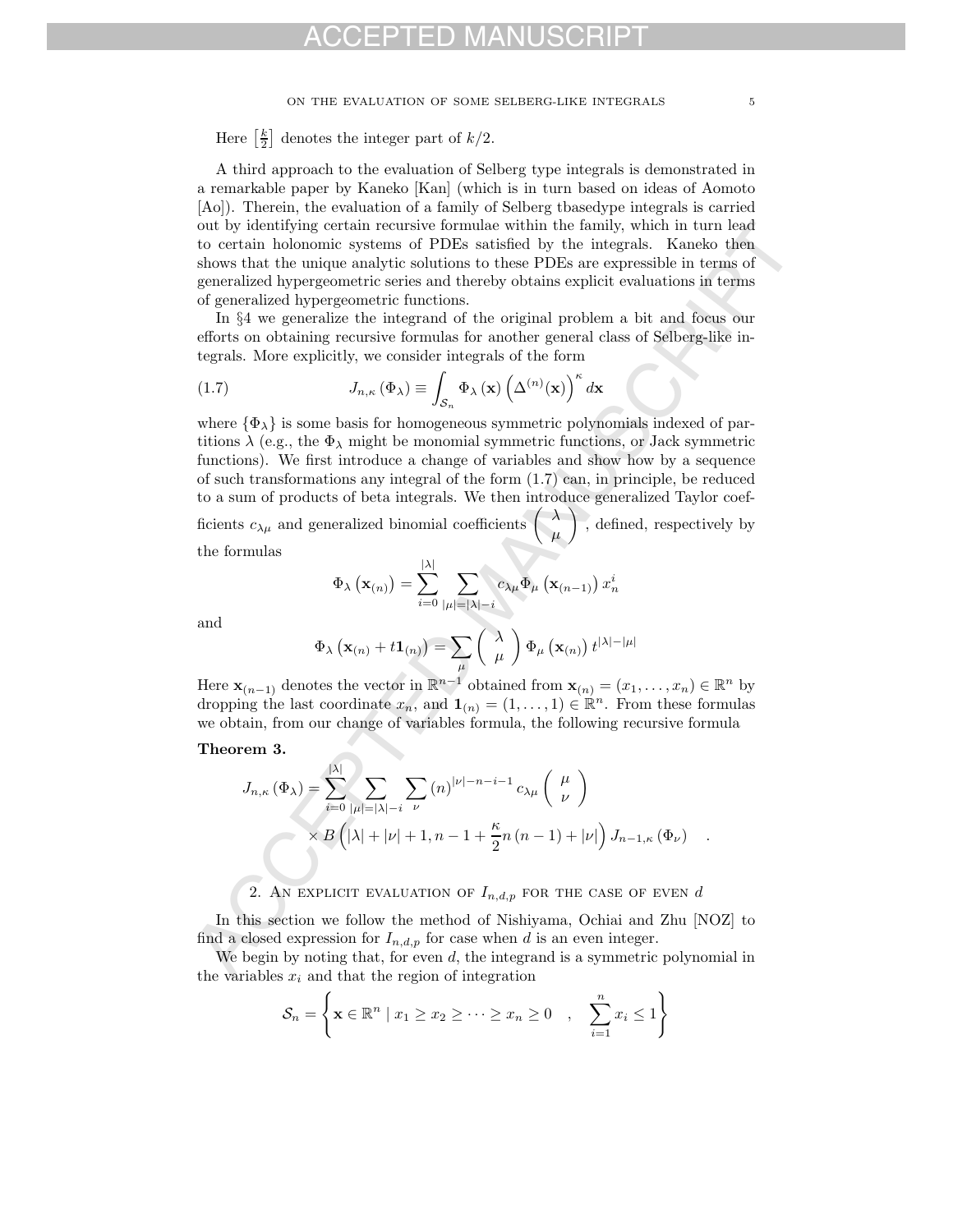#### ON THE EVALUATION OF SOME SELBERG-LIKE INTEGRALS  $\,$  5  $\,$

Here  $\left[\frac{k}{2}\right]$  denotes the integer part of  $k/2$ .

A third approach to the evaluation of Selberg type integrals is demonstrated in a remarkable paper by Kaneko [Kan] (which is in turn based on ideas of Aomoto [Ao]). Therein, the evaluation of a family of Selberg tbasedype integrals is carried out by identifying certain recursive formulae within the family, which in turn lead to certain holonomic systems of PDEs satisfied by the integrals. Kaneko then shows that the unique analytic solutions to these PDEs are expressible in terms of generalized hypergeometric series and thereby obtains explicit evaluations in terms of generalized hypergeometric functions.

In §4 we generalize the integrand of the original problem a bit and focus our efforts on obtaining recursive formulas for another general class of Selberg-like integrals. More explicitly, we consider integrals of the form

(1.7) 
$$
J_{n,\kappa}(\Phi_{\lambda}) \equiv \int_{\mathcal{S}_n} \Phi_{\lambda}(\mathbf{x}) \left(\Delta^{(n)}(\mathbf{x})\right)^{\kappa} d\mathbf{x}
$$

out by identifying certain recentric formulae within the formly, which in turn lead shows that the unique analytic solutions to these PDEs stristed by the integrals. Kaneko then the unique analytic solutions to these PDEs where  $\{\Phi_{\lambda}\}\$ is some basis for homogeneous symmetric polynomials indexed of partitions  $\lambda$  (e.g., the  $\Phi_{\lambda}$  might be monomial symmetric functions, or Jack symmetric functions). We first introduce a change of variables and show how by a sequence of such transformations any integral of the form (1.7) can, in principle, be reduced to a sum of products of beta integrals. We then introduce generalized Taylor coefficients  $c_{\lambda\mu}$  and generalized binomial coefficients  $\big\vert$ μ  $\overline{\phantom{0}}$ , defined, respectively by

the formulas

$$
\Phi_{\lambda}\left(\mathbf{x}_{(n)}\right)=\sum_{i=0}^{|\lambda|}\sum_{|\mu|=|\lambda|-i}c_{\lambda\mu}\Phi_{\mu}\left(\mathbf{x}_{(n-1)}\right)x_{n}^{i}
$$

and

$$
\Phi_{\lambda}\left(\mathbf{x}_{(n)}+t\mathbf{1}_{(n)}\right)=\sum_{\mu}\left(\begin{array}{c} \lambda \\ \mu \end{array}\right)\Phi_{\mu}\left(\mathbf{x}_{(n)}\right)t^{|\lambda|-|\mu|}
$$

Here  $\mathbf{x}_{(n-1)}$  denotes the vector in  $\mathbb{R}^{n-1}$  obtained from  $\mathbf{x}_{(n)} = (x_1, \ldots, x_n) \in \mathbb{R}^n$  by dropping the last coordinate  $x_n$ , and  $\mathbf{1}_{(n)} = (1, \ldots, 1) \in \mathbb{R}^n$ . From these formulas we obtain, from our change of variables formula, the following recursive formula

#### **Theorem 3.**

$$
J_{n,\kappa}(\Phi_{\lambda}) = \sum_{i=0}^{|\lambda|} \sum_{|\mu|=|\lambda|-i} \sum_{\nu} (n)^{|\nu|-n-i-1} c_{\lambda\mu} \begin{pmatrix} \mu \\ \nu \end{pmatrix}
$$
  
 
$$
\times B\left(|\lambda|+|\nu|+1, n-1+\frac{\kappa}{2}n(n-1)+|\nu|\right) J_{n-1,\kappa}(\Phi_{\nu}) .
$$

#### 2. AN EXPLICIT EVALUATION OF  $I_{n,d,p}$  for the case of even  $d$

In this section we follow the method of Nishiyama, Ochiai and Zhu [NOZ] to find a closed expression for  $I_{n,d,p}$  for case when d is an even integer.

We begin by noting that, for even  $d$ , the integrand is a symmetric polynomial in the variables  $x_i$  and that the region of integration

$$
\mathcal{S}_n = \left\{ \mathbf{x} \in \mathbb{R}^n \mid x_1 \geq x_2 \geq \cdots \geq x_n \geq 0 \quad , \quad \sum_{i=1}^n x_i \leq 1 \right\}
$$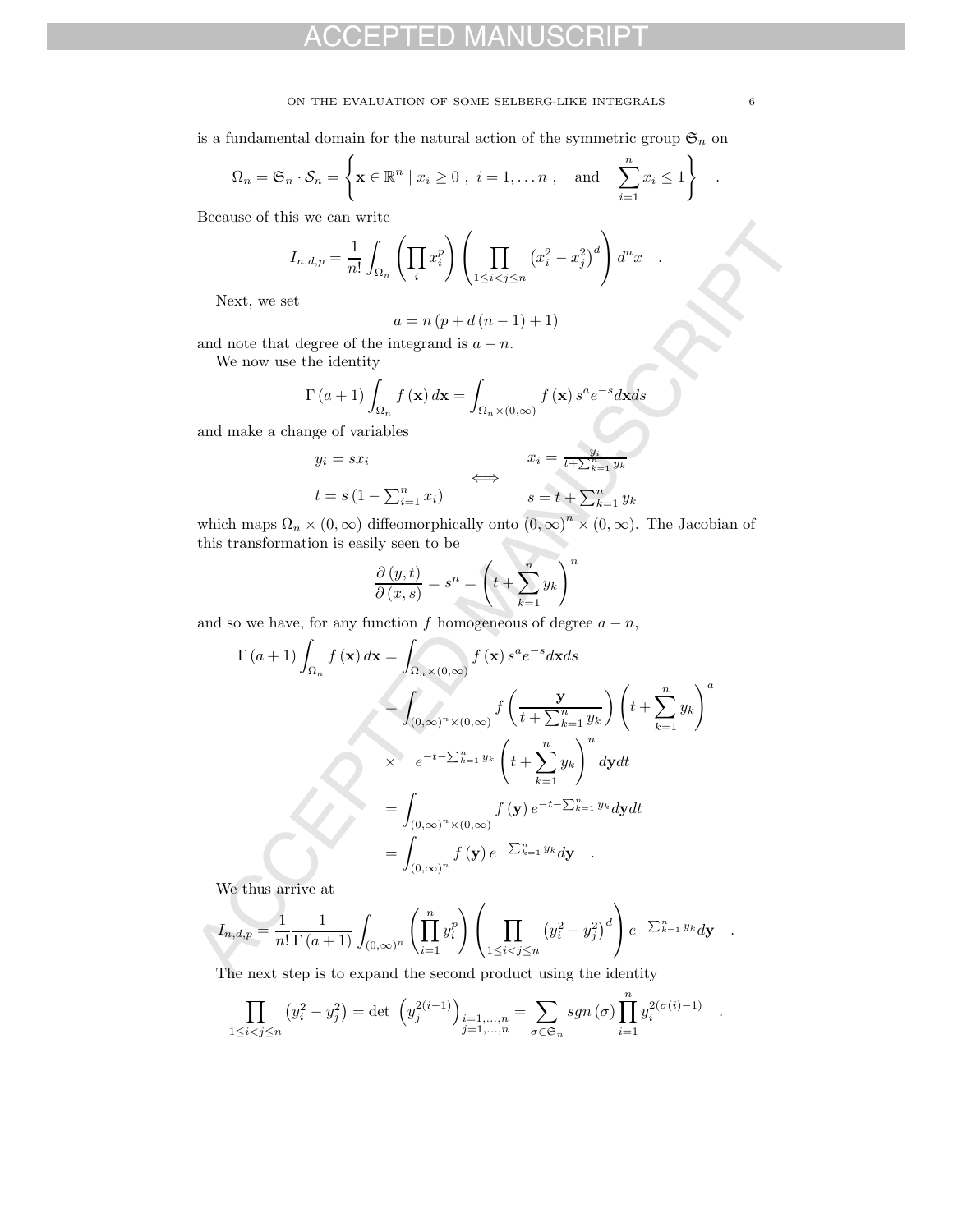#### ON THE EVALUATION OF SOME SELBERG-LIKE INTEGRALS  $\hfill 6$

is a fundamental domain for the natural action of the symmetric group  $\mathfrak{S}_n$  on

$$
\Omega_n = \mathfrak{S}_n \cdot \mathcal{S}_n = \left\{ \mathbf{x} \in \mathbb{R}^n \mid x_i \ge 0 \ , \ i = 1, \dots n \ , \text{ and } \sum_{i=1}^n x_i \le 1 \right\} \ .
$$

Because of this we can write

$$
I_{n,d,p} = \frac{1}{n!} \int_{\Omega_n} \left( \prod_i x_i^p \right) \left( \prod_{1 \leq i < j \leq n} \left( x_i^2 - x_j^2 \right)^d \right) d^n x \quad .
$$

Next, we set

$$
a = n\left(p + d\left(n - 1\right) + 1\right)
$$

and note that degree of the integrand is  $a - n$ .

We now use the identity

$$
\Gamma\left(a+1\right)\int_{\Omega_n} f\left(\mathbf{x}\right) d\mathbf{x} = \int_{\Omega_n \times (0,\infty)} f\left(\mathbf{x}\right) s^a e^{-s} d\mathbf{x} ds
$$

and make a change of variables

$$
y_i = sx_i
$$
  
\n
$$
t = s(1 - \sum_{i=1}^n x_i)
$$
  
\n
$$
\iff
$$
  
\n
$$
s = t + \sum_{k=1}^n y_k
$$
  
\n
$$
s = t + \sum_{k=1}^n y_k
$$

which maps  $\Omega_n \times (0,\infty)$  diffeomorphically onto  $(0,\infty)^n \times (0,\infty)$ . The Jacobian of this transformation is easily seen to be

$$
\frac{\partial (y,t)}{\partial (x,s)} = s^n = \left( t + \sum_{k=1}^n y_k \right)^n
$$

and so we have, for any function f homogeneous of degree  $a - n$ ,

$$
I_{n,d,p} = \frac{1}{n!} \int_{\Omega_n} \left( \prod_{i} x_i^p \right) \left( \prod_{1 \le i < j \le n} (x_i^2 - x_j^2)^d \right) d^n x
$$
\nNext, we set\n
$$
a = n (p + d (n - 1) + 1)
$$
\nand note that degree of the integrand is  $a - n$ .  
\nWe now use the identity\n
$$
\Gamma(a + 1) \int_{\Omega_n} f(x) dx = \int_{\Omega_{n} \times (0, \infty)} f(x) s^a e^{-s} dx ds
$$
\nand make a change of variables\n
$$
y_i = sx_i \qquad \Longleftrightarrow \quad x_i = \frac{y_i}{i + \sum_{k=1}^n y_k}
$$
\nwhich maps  $\Omega_n \times (0, \infty)$  differentically onto  $(0, \infty)^n \times (0, \infty)$ . The Jacobian of this transformation is easily seen to be\n
$$
\frac{\partial (y, t)}{\partial (x, s)} = s^n = \left( t + \sum_{k=1}^n y_k \right)^n
$$
\nand so we have, for any function *f* homogeneous of degree  $a - n$ ,\n
$$
\Gamma(a + 1) \int_{\Omega_n} f(x) dx = \int_{\Omega_n \times (0, \infty)} f(x) s^a e^{-s} dx ds
$$
\n
$$
= \int_{(0, \infty)^n \times (0, \infty)} f\left(\frac{y}{t + \sum_{k=1}^n y_k}\right) \left(t + \sum_{k=1}^n y_k\right)^a
$$
\nand so we have, for any function *f* homogeneous of degree  $a - n$ ,\n
$$
\Gamma(a + 1) \int_{\Omega_n} f(x) dx = \int_{\Omega_n \times (0, \infty)} f(x) s^a e^{-s} dx ds
$$
\n
$$
= \int_{(0, \infty)^n \times (0, \infty)} f\left(\frac{y}{t + \sum_{k=1}^n y_k}\right)^n dy dt
$$
\n
$$
= \int_{(0, \infty)^n \times (0, \infty)} f(y) e^{-t - \sum_{k=1}^n y_k} dy
$$
\nWe thus arrive at\n
$$
I_{n,d,p} = \frac{1}{n!} \frac{1}{\Gamma(a + 1)} \int_{(0, \infty)^n} \left( \prod_{i = 1}^n
$$

We thus arrive at

$$
I_{n,d,p} = \frac{1}{n!} \frac{1}{\Gamma(a+1)} \int_{(0,\infty)^n} \left( \prod_{i=1}^n y_i^p \right) \left( \prod_{1 \le i < j \le n} \left( y_i^2 - y_j^2 \right)^d \right) e^{-\sum_{k=1}^n y_k} dy.
$$

The next step is to expand the second product using the identity

$$
\prod_{1 \leq i < j \leq n} \left( y_i^2 - y_j^2 \right) = \det \left( y_j^{2(i-1)} \right)_{\substack{i=1,\dots,n \\ j=1,\dots,n}} = \sum_{\sigma \in \mathfrak{S}_n} sgn(\sigma) \prod_{i=1}^n y_i^{2(\sigma(i)-1)} \quad .
$$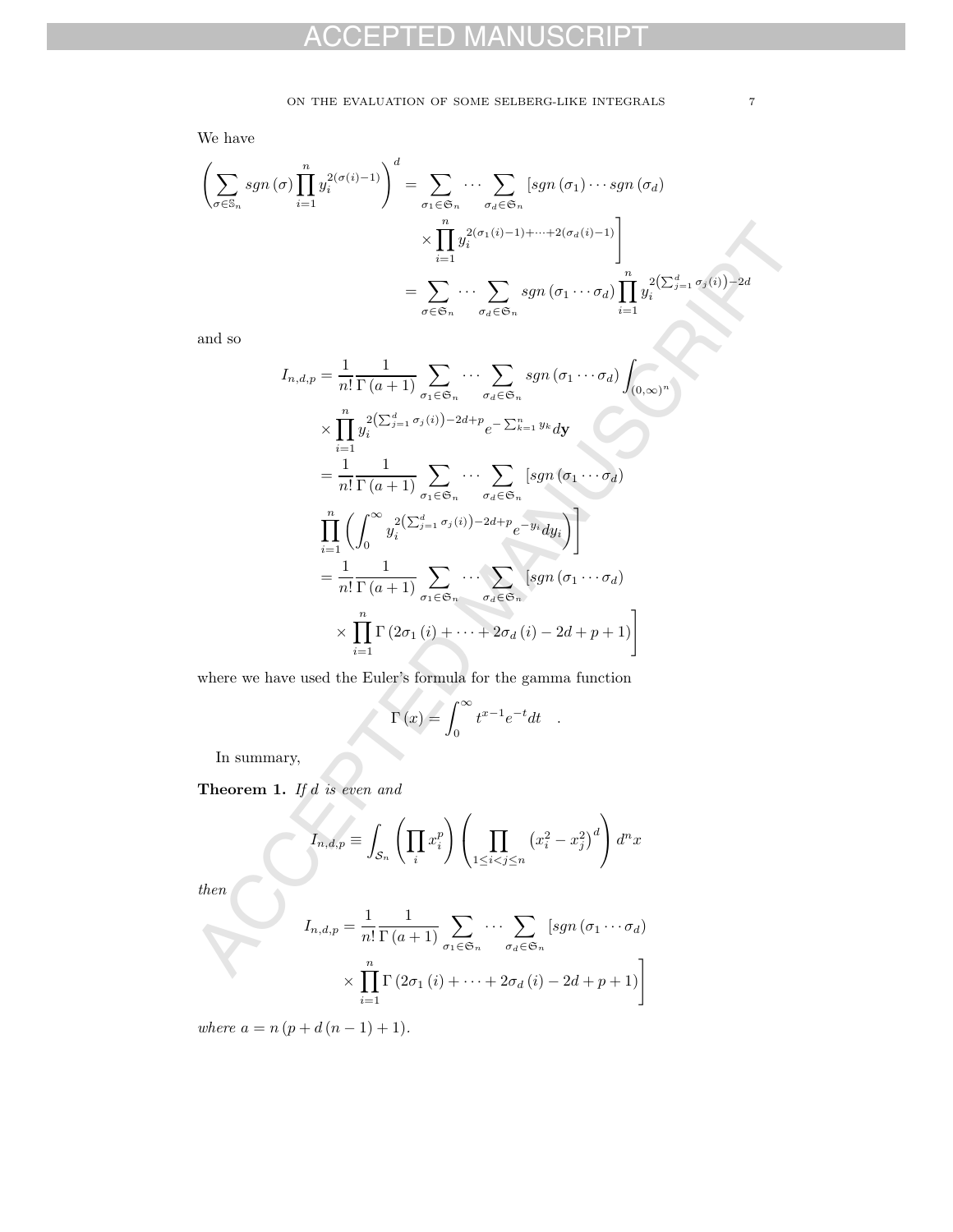We have

$$
\left(\sum_{\sigma \in \mathbb{S}_n} sgn(\sigma) \prod_{i=1}^n y_i^{2(\sigma(i)-1)}\right)^d = \sum_{\sigma_1 \in \mathfrak{S}_n} \cdots \sum_{\sigma_d \in \mathfrak{S}_n} \left[ sgn(\sigma_1) \cdots sgn(\sigma_d) \right]
$$

$$
\times \prod_{i=1}^n y_i^{2(\sigma_1(i)-1)+\cdots+2(\sigma_d(i)-1)} \Bigg]
$$

$$
= \sum_{\sigma \in \mathfrak{S}_n} \cdots \sum_{\sigma_d \in \mathfrak{S}_n} sgn(\sigma_1 \cdots \sigma_d) \prod_{i=1}^n y_i^{2(\sum_{j=1}^d \sigma_j(i)) - 2d}
$$

and so

$$
\times \prod_{i=1}^n y_i^{2(\sigma_1(i)-1)+\cdots+2(\sigma_d(i)-1)} \Bigg|
$$
\n
$$
= \sum_{\sigma \in \mathfrak{S}_n} \cdots \sum_{\sigma_d \in \mathfrak{S}_n} sgn(\sigma_1 \cdots \sigma_d) \prod_{i=1}^n y_i^{2\left(\sum_{j=1}^d \sigma_j(i)\right)-2d}
$$
\nand so\n
$$
I_{n,d,p} = \frac{1}{n!} \frac{1}{\Gamma(a+1)} \sum_{\sigma_1 \in \mathfrak{S}_n} \cdots \sum_{\sigma_d \in \mathfrak{S}_n} sgn(\sigma_1 \cdots \sigma_d) \int_{(0,\infty)^n}
$$
\n
$$
\times \prod_{i=1}^n y_i^{2\left(\sum_{j=1}^d \sigma_j(i)\right)-2d+p} e^{-\sum_{k=1}^n y_k} dy
$$
\n
$$
= \frac{1}{n!} \frac{1}{\Gamma(a+1)} \sum_{\sigma_1 \in \mathfrak{S}_n} \cdots \sum_{\sigma_d \in \mathfrak{S}_n} \left[ sgn(\sigma_1 \cdots \sigma_d) \right]
$$
\n
$$
= \frac{1}{n!} \frac{1}{\Gamma(a+1)} \sum_{\sigma_1 \in \mathfrak{S}_n} \cdots \sum_{\sigma_d \in \mathfrak{S}_n} \left[ sgn(\sigma_1 \cdots \sigma_d) \right]
$$
\n
$$
\times \prod_{i=1}^n \Gamma(2\sigma_1(i) + \cdots + 2\sigma_d(i) - 2d + p + 1) \Bigg]
$$
\nwhere we have used the Euler's formula for the gamma function\n
$$
\Gamma(x) = \int_0^\infty t^{x-1} e^{-t} dt
$$
\nIn summary,\n
$$
\text{Theorem 1. If } d \text{ is even and}
$$
\n
$$
I_{n,d,p} = \int_{\mathcal{S}_n} \left( \prod_{i=1}^n x_i^p \right) \left( \prod_{1 \leq i < j \leq n} (x_i^2 - x_j^2)^d \right) d^n x
$$
\nthen\n
$$
I_{n,d,p} = \frac{1}{n!} \frac{1}{\Gamma(a+1)} \sum_{\sigma_1 \in \mathfrak{S}_n} \cdots \sum_{\sigma_d \in \mathfrak{S}_n} \left[ s
$$

where we have used the Euler's formula for the gamma function

$$
\Gamma(x) = \int_0^\infty t^{x-1} e^{-t} dt
$$

In summary,

**Theorem 1.** If d is even and

$$
I_{n,d,p} \equiv \int_{\mathcal{S}_n} \left( \prod_i x_i^p \right) \left( \prod_{1 \le i < j \le n} \left( x_i^2 - x_j^2 \right)^d \right) d^n x
$$

then

$$
I_{n,d,p} = \frac{1}{n!} \frac{1}{\Gamma(a+1)} \sum_{\sigma_1 \in \mathfrak{S}_n} \cdots \sum_{\sigma_d \in \mathfrak{S}_n} [sgn(\sigma_1 \cdots \sigma_d)]
$$

$$
\times \prod_{i=1}^n \Gamma(2\sigma_1(i) + \cdots + 2\sigma_d(i) - 2d + p + 1)]
$$

where  $a = n (p + d (n - 1) + 1)$ .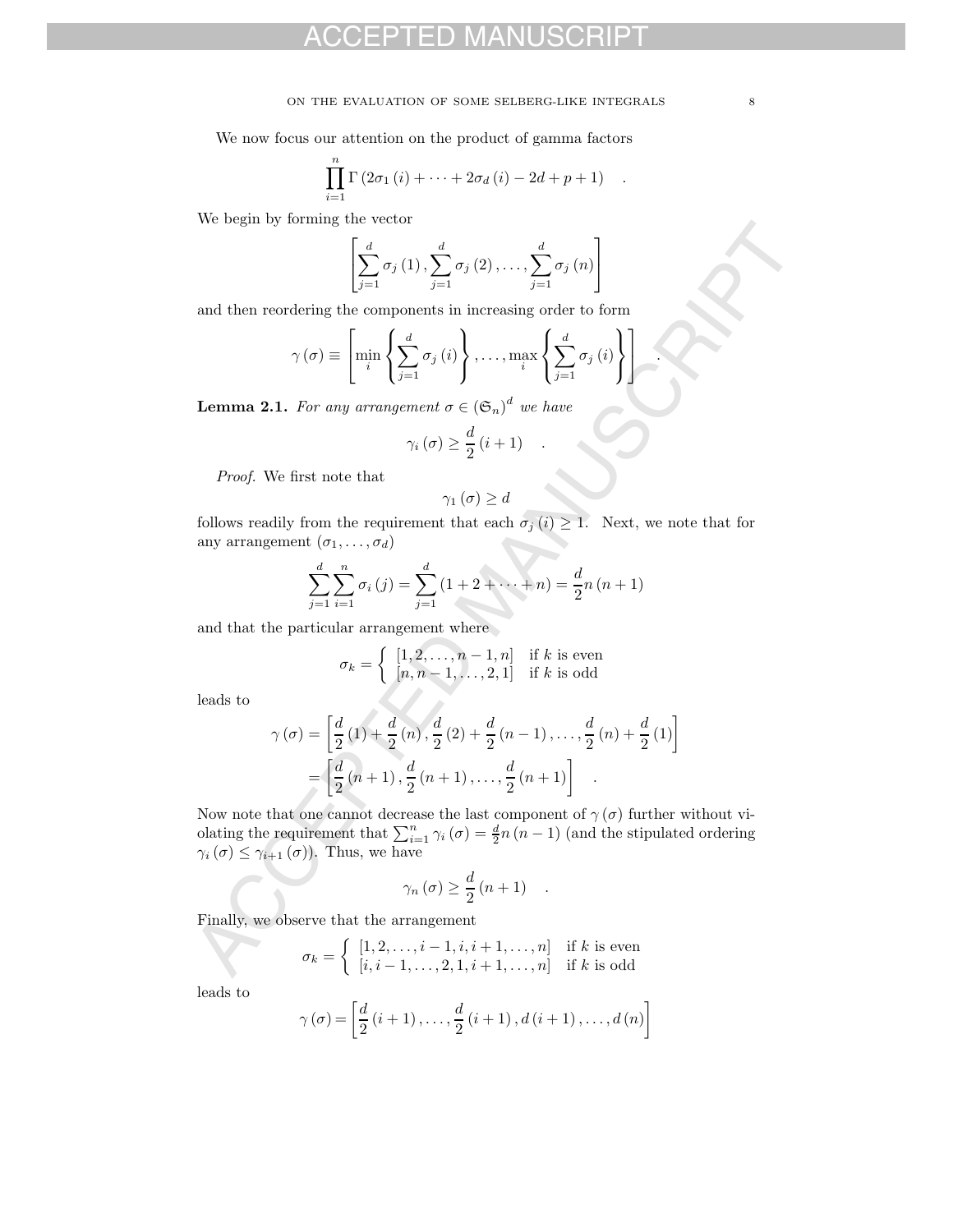#### ON THE EVALUATION OF SOME SELBERG-LIKE INTEGRALS  $\qquad \qquad \, 8$

We now focus our attention on the product of gamma factors

$$
\prod_{i=1}^{n} \Gamma\left(2\sigma_1\left(i\right)+\cdots+2\sigma_d\left(i\right)-2d+p+1\right) \quad .
$$

We begin by forming the vector

$$
\left[\sum_{j=1}^{d} \sigma_{j}(1), \sum_{j=1}^{d} \sigma_{j}(2), \ldots, \sum_{j=1}^{d} \sigma_{j}(n)\right]
$$

and then reordering the components in increasing order to form

$$
\gamma(\sigma) \equiv \left[ \min_{i} \left\{ \sum_{j=1}^{d} \sigma_{j} (i) \right\}, \ldots, \max_{i} \left\{ \sum_{j=1}^{d} \sigma_{j} (i) \right\} \right].
$$

**Lemma 2.1.** For any arrangement  $\sigma \in (\mathfrak{S}_n)^d$  we have

$$
\gamma_i(\sigma) \geq \frac{d}{2} (i+1) \quad .
$$

Proof. We first note that

$$
\gamma_{1}\left( \sigma\right) \geq d
$$

follows readily from the requirement that each  $\sigma_i(i) \geq 1$ . Next, we note that for any arrangement  $(\sigma_1, \ldots, \sigma_d)$ 

$$
\sum_{j=1}^{d} \sum_{i=1}^{n} \sigma_i(j) = \sum_{j=1}^{d} (1 + 2 + \dots + n) = \frac{d}{2}n(n+1)
$$

and that the particular arrangement where

$$
\sigma_k = \begin{cases} [1, 2, \dots, n-1, n] & \text{if } k \text{ is even} \\ [n, n-1, \dots, 2, 1] & \text{if } k \text{ is odd} \end{cases}
$$

leads to

We begin by forming the vector  
\n
$$
\left[\sum_{j=1}^{d} \sigma_j(1), \sum_{j=1}^{d} \sigma_j(2), \dots, \sum_{j=1}^{d} \sigma_j(n)\right]
$$
\nand then reordering the components in increasing order to form  
\n
$$
\gamma(\sigma) \equiv \left[\min_i \left\{\sum_{j=1}^{d} \sigma_j(i)\right\}, \dots, \max_i \left\{\sum_{j=1}^{d} \sigma_j(i)\right\}\right].
$$
\n**Lemma 2.1.** For any arrangement  $\sigma \in (\mathfrak{S}_n)^d$  we have  
\n
$$
\gamma_i(\sigma) \geq \frac{d}{2}(i+1)
$$
\nProof. We first note that  
\n
$$
\gamma_1(\sigma) \geq d
$$
\nfollows readily from the requirement that each  $\sigma_j(i) \geq 1$ . Next, we note that for any arrangement  $(\sigma_1, ..., \sigma_d)$   
\n
$$
\sum_{j=1}^{d} \sum_{i=1}^{n} \sigma_i(j) = \sum_{j=1}^{d} (1+2+...+n) = \frac{d}{2}n(n+1)
$$
\nand that the particular arrangement where  
\n
$$
\sigma_k = \left\{ \begin{array}{ll} [1, 2, ..., n-1, n] & \text{if } k \text{ is even} \\ [n, n-1, ..., 2, 1] & \text{if } k \text{ is odd} \end{array} \right.
$$
\nleads to  
\n
$$
\gamma(\sigma) = \left[\frac{d}{2}(1) + \frac{d}{2}(n), \frac{d}{2}(2) + \frac{d}{2}(n-1), \dots, \frac{d}{2}(n) + \frac{d}{2}(1) \right]
$$
\n
$$
= \left[\frac{d}{2}(n+1), \frac{d}{2}(n+1), \dots, \frac{d}{2}(n+1)\right].
$$
\nNow note that one cannot decrease the last component of  $\gamma(\sigma)$  further without violating the requirement that  $\sum_{i=1}^{n} \gamma_i(\sigma) = \frac{d}{2}n(n-1)$  (and the stipulated ordering  $\gamma_i(\sigma) \leq \gamma_{i+1}(\sigma)$ ). Thus, we have  
\n
$$
\gamma_n(\sigma) \geq \frac{d}{2}(n+1)
$$
\nFinally, we observe that the arrangement  
\n
$$
\sigma_k = \begin{cases} [1, 2, ..., i-1, i, i+1, ..., n] & \text
$$

Now note that one cannot decrease the last component of  $\gamma(\sigma)$  further without violating the requirement that  $\sum_{i=1}^{n} \gamma_i (\sigma) = \frac{d}{2}n (n-1)$  (and the stipulated ordering  $\gamma_i(\sigma) \leq \gamma_{i+1}(\sigma)$ ). Thus, we have

$$
\gamma_n(\sigma) \geq \frac{d}{2}(n+1) \quad .
$$

Finally, we observe that the arrangement

$$
\sigma_k = \begin{cases} [1, 2, \dots, i-1, i, i+1, \dots, n] & \text{if } k \text{ is even} \\ [i, i-1, \dots, 2, 1, i+1, \dots, n] & \text{if } k \text{ is odd} \end{cases}
$$

leads to

$$
\gamma(\sigma) = \left[ \frac{d}{2} (i + 1), \ldots, \frac{d}{2} (i + 1), d (i + 1), \ldots, d (n) \right]
$$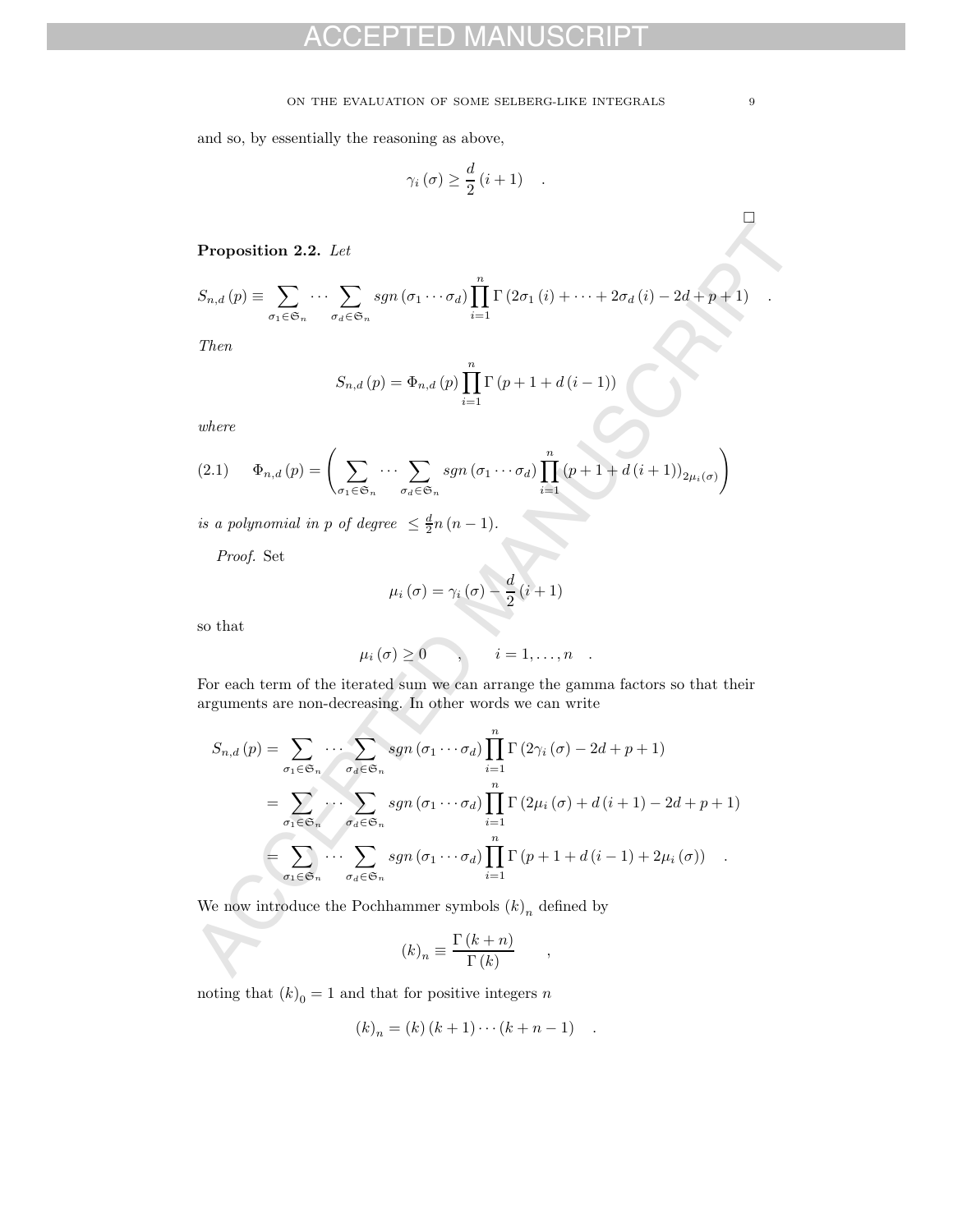#### ON THE EVALUATION OF SOME SELBERG-LIKE INTEGRALS  $\hfill 9$

and so, by essentially the reasoning as above,

$$
\gamma_i(\sigma) \geq \frac{d}{2} (i+1) \quad .
$$

**Proposition 2.2.** Let

$$
S_{n,d}(p) \equiv \sum_{\sigma_1 \in \mathfrak{S}_n} \cdots \sum_{\sigma_d \in \mathfrak{S}_n} sgn(\sigma_1 \cdots \sigma_d) \prod_{i=1}^n \Gamma(2\sigma_1(i) + \cdots + 2\sigma_d(i) - 2d + p + 1) .
$$

Then

$$
S_{n,d}(p) = \Phi_{n,d}(p) \prod_{i=1}^{n} \Gamma(p+1+d(i-1))
$$

where

$$
(2.1) \qquad \Phi_{n,d}(p) = \left(\sum_{\sigma_1 \in \mathfrak{S}_n} \cdots \sum_{\sigma_d \in \mathfrak{S}_n} sgn(\sigma_1 \cdots \sigma_d) \prod_{i=1}^n (p+1+d(i+1))_{2\mu_i(\sigma)}\right)
$$

is a polynomial in p of degree  $\leq \frac{d}{2}n(n-1)$ .

Proof. Set

$$
\mu_i(\sigma)=\gamma_i(\sigma)-\frac{d}{2}(i+1)
$$

so that

$$
\mu_i(\sigma) \geq 0 \qquad , \qquad i=1,\ldots,n \quad .
$$

For each term of the iterated sum we can arrange the gamma factors so that their arguments are non-decreasing. In other words we can write

**Proposition 2.2.** Let  
\n
$$
S_{n,d}(p) = \sum_{\sigma_i \in \mathfrak{S}_n} \cdots \sum_{\sigma_d \in \mathfrak{S}_n} sgn(\sigma_1 \cdots \sigma_d) \prod_{i=1}^n \Gamma(2\sigma_1(i) + \cdots + 2\sigma_d(i) - 2d + p + 1)
$$
\nThen  
\n
$$
S_{n,d}(p) = \Phi_{n,d}(p) \prod_{i=1}^n \Gamma(p+1+d(i-1))
$$
\nwhere  
\n(2.1) 
$$
\Phi_{n,d}(p) = \left( \sum_{\sigma_1 \in \mathfrak{S}_n} \cdots \sum_{\sigma_d \in \mathfrak{S}_n} sgn(\sigma_1 \cdots \sigma_d) \prod_{i=1}^n (p+1+d(i+1))_{2\mu_i(\sigma)} \right)
$$
\nis a polynomial in p of degree  $\leq \frac{d}{2}n(n-1)$ .  
\nProof. Set  
\n
$$
\mu_i(\sigma) = \gamma_i(\sigma) - \frac{d}{2}(i+1)
$$
\nso that  
\n
$$
\mu_i(\sigma) \geq 0 \qquad, \qquad i = 1, ..., n
$$
\nFor each term of the iterated sum we can arrange the gamma factors so that their arguments are non-decreasing. In other words we can write  
\n
$$
S_{n,d}(p) = \sum_{\sigma_1 \in \mathfrak{S}_n} \cdots \sum_{\sigma_d \in \mathfrak{S}_n} sgn(\sigma_1 \cdots \sigma_d) \prod_{i=1}^n \Gamma(2\gamma_i(\sigma) - 2d + p + 1)
$$
\n
$$
= \sum_{\sigma_i \in \mathfrak{S}_n} \cdots \sum_{\sigma_d \in \mathfrak{S}_n} sgn(\sigma_1 \cdots \sigma_d) \prod_{i=1}^n \Gamma(p+1+d(i-1)+2\mu_i(\sigma))
$$
\nWe now introduce the Pochhammer symbols  $(k)_n$  defined by  
\n
$$
(k)_n = \frac{\Gamma(k+n)}{\Gamma(k)}
$$

We now introduce the Pochhammer symbols  $(k)<sub>n</sub>$  defined by

$$
(k)_n \equiv \frac{\Gamma(k+n)}{\Gamma(k)} ,
$$

noting that  $(k)_0 = 1$  and that for positive integers  $\boldsymbol{n}$ 

$$
(k)_n = (k) (k + 1) \cdots (k + n - 1)
$$
.

-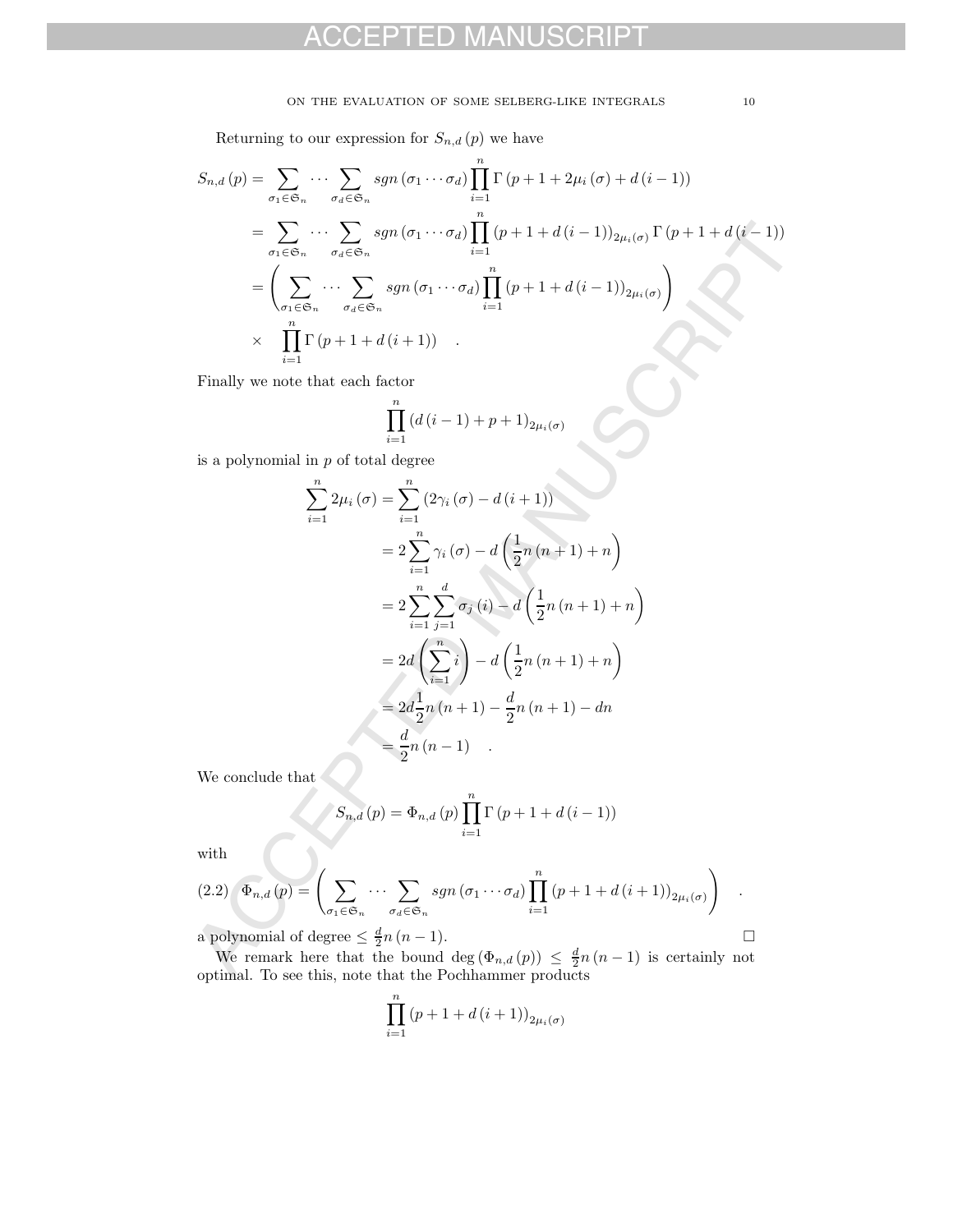#### ON THE EVALUATION OF SOME SELBERG-LIKE INTEGRALS 10

Returning to our expression for  $S_{n,d}(p)$  we have

$$
S_{n,d}(p) = \sum_{\sigma_1 \in \mathfrak{S}_n} \cdots \sum_{\sigma_d \in \mathfrak{S}_n} sgn(\sigma_1 \cdots \sigma_d) \prod_{i=1}^n \Gamma(p+1+2\mu_i(\sigma) + d(i-1))
$$
  
\n
$$
= \sum_{\sigma_1 \in \mathfrak{S}_n} \cdots \sum_{\sigma_d \in \mathfrak{S}_n} sgn(\sigma_1 \cdots \sigma_d) \prod_{i=1}^n (p+1+d(i-1))_{2\mu_i(\sigma)} \Gamma(p+1+d(i-1))
$$
  
\n
$$
= \left( \sum_{\sigma_1 \in \mathfrak{S}_n} \cdots \sum_{\sigma_d \in \mathfrak{S}_n} sgn(\sigma_1 \cdots \sigma_d) \prod_{i=1}^n (p+1+d(i-1))_{2\mu_i(\sigma)} \right)
$$
  
\n
$$
\times \prod_{i=1}^n \Gamma(p+1+d(i+1)) .
$$

Finally we note that each factor

$$
\prod_{i=1}^{n} \left( d(i-1) + p + 1 \right)_{2\mu_i(\sigma)}
$$

is a polynomial in  $p$  of total degree

$$
= \sum_{\sigma_1 \in \mathfrak{S}_n} \cdots \sum_{\sigma_d \in \mathfrak{S}_n} sgn(\sigma_1 \cdots \sigma_d) \prod_{i=1} (p+1+d(i-1))_{2\mu_i(\sigma)} \Gamma(p+1+d(i-1))
$$
\n
$$
= \left( \sum_{\sigma_1 \in \mathfrak{S}_n} \cdots \sum_{\sigma_d \in \mathfrak{S}_n} sgn(\sigma_1 \cdots \sigma_d) \prod_{i=1}^n (p+1+d(i-1))_{2\mu_i(\sigma)} \right)
$$
\n
$$
\times \prod_{i=1}^n \Gamma(p+1+d(i+1))
$$
\nFinally we note that each factor\n
$$
\prod_{i=1}^n (d(i-1)+p+1)_{2\mu_i(\sigma)}
$$
\nis a polynomial in  $p$  of total degree\n
$$
\sum_{i=1}^n 2\mu_i(\sigma) = \sum_{i=1}^n (2\gamma_i(\sigma) - d(i+1))
$$
\n
$$
= 2 \sum_{i=1}^n \gamma_i(\sigma) - d\left(\frac{1}{2}n(n+1)+n\right)
$$
\n
$$
= 2 \sum_{i=1}^n \sum_{j=1}^d \sigma_j(i) - d\left(\frac{1}{2}n(n+1)+n\right)
$$
\n
$$
= 2d\left(\sum_{i=1}^n i\right) - d\left(\frac{1}{2}n(n+1)+n\right)
$$
\n
$$
= 2d\left(\sum_{i=1}^n i\right) - d\left(\frac{1}{2}n(n+1)+n\right)
$$
\n
$$
= 2d\left(\sum_{i=1}^n i(n+1) - \frac{d}{2}n(n+1) - dn\right)
$$
\nWe conclude that\n
$$
S_{n,d}(p) = \Phi_{n,d}(p) \prod_{i=1}^n \Gamma(p+1+d(i-1))
$$
\nwith\n
$$
(2.2) \Phi_{n,d}(p) = \left(\sum_{\sigma_1 \in \mathfrak{S}_n} \cdots \sum_{\sigma_d \in \mathfrak{S}_n} sgn(\sigma_1 \cdots \sigma_d) \prod_{i=1}^n (p+1+d(i+1))_{2\mu_i(\sigma)}\right)
$$
\na polynomial of degree  $\leq \frac{d}{2}n(n-1)$ ,\n
$$
O(n)
$$
 formula. To see this,

We conclude that  $\overline{\mathcal{C}}$ 

$$
S_{n,d}(p) = \Phi_{n,d}(p) \prod_{i=1}^{n} \Gamma(p+1+d(i-1))
$$

with

$$
(2.2) \quad \Phi_{n,d}(p) = \left( \sum_{\sigma_1 \in \mathfrak{S}_n} \cdots \sum_{\sigma_d \in \mathfrak{S}_n} sgn(\sigma_1 \cdots \sigma_d) \prod_{i=1}^n (p+1+d(i+1))_{2\mu_i(\sigma)} \right) \quad .
$$

a polynomial of degree  $\leq \frac{d}{2}n (n - 1)$ . □<br>We remark here that the bound deg  $(\Phi_{n,d}(p)) \leq \frac{d}{2}n (n - 1)$  is certainly not optimal. To see this, note that the Pochhammer products

$$
\prod_{i=1}^{n} (p+1+d(i+1))_{2\mu_i(\sigma)}
$$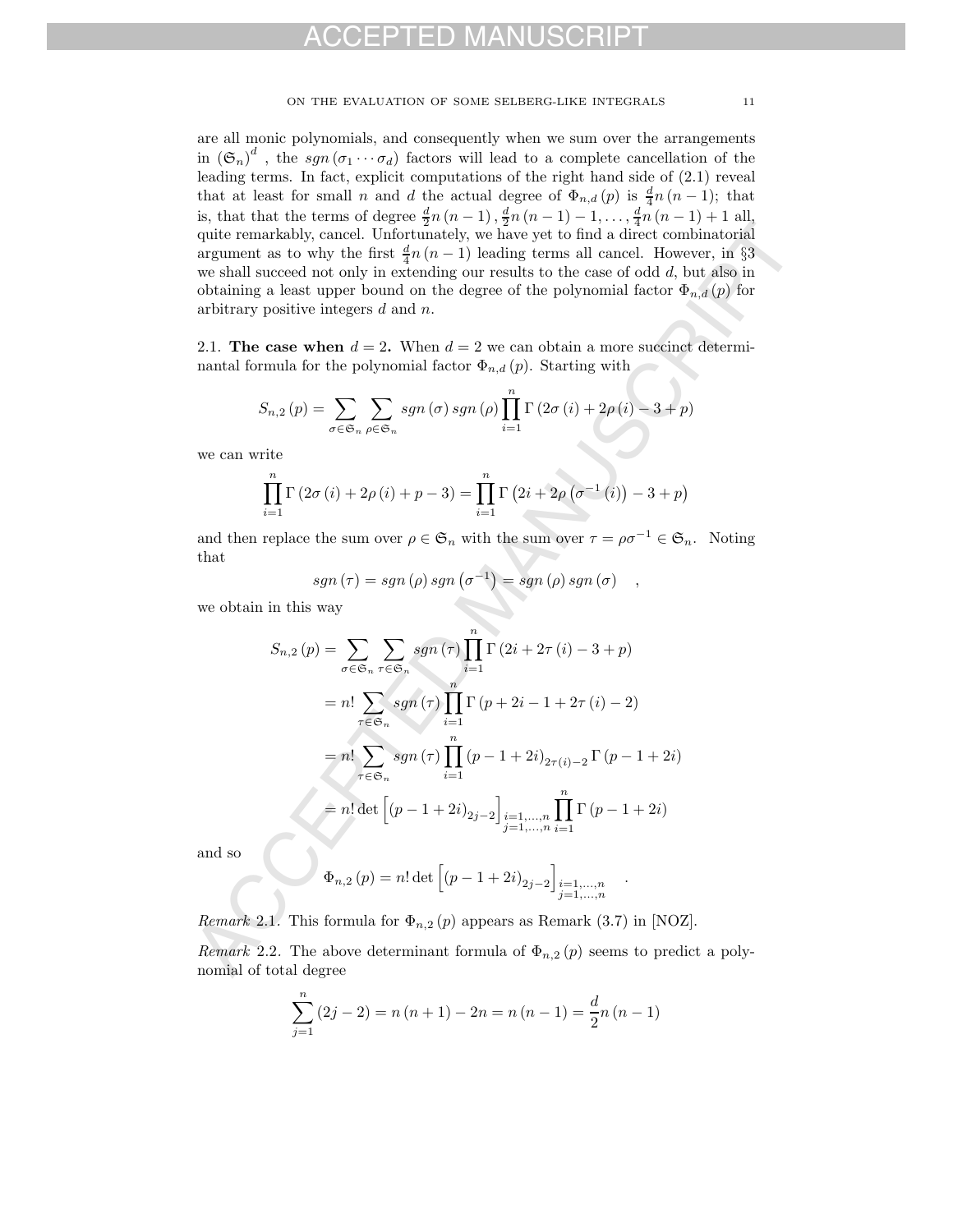are all monic polynomials, and consequently when we sum over the arrangements in  $(\mathfrak{S}_n)^d$ , the sgn  $(\sigma_1 \cdots \sigma_d)$  factors will lead to a complete cancellation of the leading terms. In fact, explicit computations of the right hand side of (2.1) reveal that at least for small n and d the actual degree of  $\Phi_{n,d}(p)$  is  $\frac{d}{4}n(n-1)$ ; that is, that that the terms of degree  $\frac{d}{2}n(n-1)$ ,  $\frac{d}{2}n(n-1) - 1, \ldots, \frac{d}{4}n(n-1) + 1$  all, quite remarkably, cancel. Unfortunately, we have yet to find a direct combinatorial argument as to why the first  $\frac{d}{4}n(n-1)$  leading terms all cancel. However, in §3 we shall succeed not only in extending our results to the case of odd d, but also in obtaining a least upper bound on the degree of the polynomial factor  $\Phi_{n,d}(p)$  for arbitrary positive integers d and n.

2.1. **The case when**  $d = 2$ . When  $d = 2$  we can obtain a more succinct determinantal formula for the polynomial factor  $\Phi_{n,d}(p)$ . Starting with

$$
S_{n,2}(p) = \sum_{\sigma \in \mathfrak{S}_n} \sum_{\rho \in \mathfrak{S}_n} sgn(\sigma) sgn(\rho) \prod_{i=1}^n \Gamma(2\sigma(i) + 2\rho(i) - 3 + p)
$$

we can write

$$
\prod_{i=1}^{n} \Gamma(2\sigma(i) + 2\rho(i) + p - 3) = \prod_{i=1}^{n} \Gamma(2i + 2\rho(\sigma^{-1}(i)) - 3 + p)
$$

and then replace the sum over  $\rho \in \mathfrak{S}_n$  with the sum over  $\tau = \rho \sigma^{-1} \in \mathfrak{S}_n$ . Noting that

$$
sgn(\tau) = sgn(\rho) sgn(\sigma^{-1}) = sgn(\rho) sgn(\sigma) ,
$$

we obtain in this way

a, ita mass to any  
the remarkable hypothesis 
$$
q(n-1)
$$
 and direct combinatorial  
argument as to why the first  $\frac{d}{dt}n(n-1)$  leading terms all cancel. However, in §3  
we shall succeed not only in extending our results to the case of odd  $d$ , but also in  
we shall succeed not only in extending our results to the case of odd  $d$ , but also in  
obtaining a least upper bound on the degree of the polynomial factor  $\Phi_{n,d}(p)$  for  
arbitrary positive integers  $d$  and  $n$ .  
2.1. The case when  $d = 2$ . When  $d = 2$  we can obtain a more succinct determin-  
nantal formula for the polynomial factor  $\Phi_{n,d}(p)$ . Starting with  

$$
S_{n,2}(p) = \sum_{\sigma \in \mathfrak{S}_n} \sum_{\rho \in \mathfrak{S}_n} sgn(\sigma) sgn(\rho) \prod_{i=1}^n \Gamma(2\sigma(i) + 2\rho(i) - 3 + p)
$$
  
we can write  

$$
\prod_{i=1}^n \Gamma(2\sigma(i) + 2\rho(i) + p - 3) = \prod_{i=1}^n \Gamma(2i + 2\rho(\sigma^{-1}(i)) - 3 + p)
$$
  
and then replace the sum over  $\rho \in \mathfrak{S}_n$  with the sum over  $\tau = \rho\sigma^{-1} \in \mathfrak{S}_n$ . Noting  
that  

$$
sgn(\tau) = sgn(\rho) sgn(\sigma^{-1}) = sgn(\rho) sgn(\sigma)
$$
,  
we obtain in this way  

$$
S_{n,2}(p) = \sum_{\sigma \in \mathfrak{S}_n} \sum_{\tau \in \mathfrak{S}_n} sgn(\tau) \prod_{i=1}^n \Gamma(2i + 2\tau(i) - 3 + p)
$$

$$
= n! \sum_{\tau \in \mathfrak{S}_n} sgn(\tau) \prod_{i=1}^n \Gamma(p + 2i - 1 + 2\tau(i) - 2)
$$

$$
= n! \sum_{\tau \in \mathfrak{S}_n} sgn(\tau) \prod_{i=1}^n \Gamma(p - 1 + 2i)_{2\tau(i) - 2} \Gamma(p - 1 + 2i)
$$
  
and so  

$$
\Phi_{n,2}(p) = n! \det \left[ (p - 1 + 2i)_{2j - 2} \right]_{\substack{i=1,...,n \\ j=
$$

and so

$$
\Phi_{n,2}(p) = n! \det \left[ (p - 1 + 2i)_{2j-2} \right]_{\substack{i=1,...,n \\ j=1,...,n}}
$$

.

*Remark* 2.1. This formula for  $\Phi_{n,2}(p)$  appears as Remark (3.7) in [NOZ].

Remark 2.2. The above determinant formula of  $\Phi_{n,2}(p)$  seems to predict a polynomial of total degree

$$
\sum_{j=1}^{n} (2j - 2) = n(n + 1) - 2n = n(n - 1) = \frac{d}{2}n(n - 1)
$$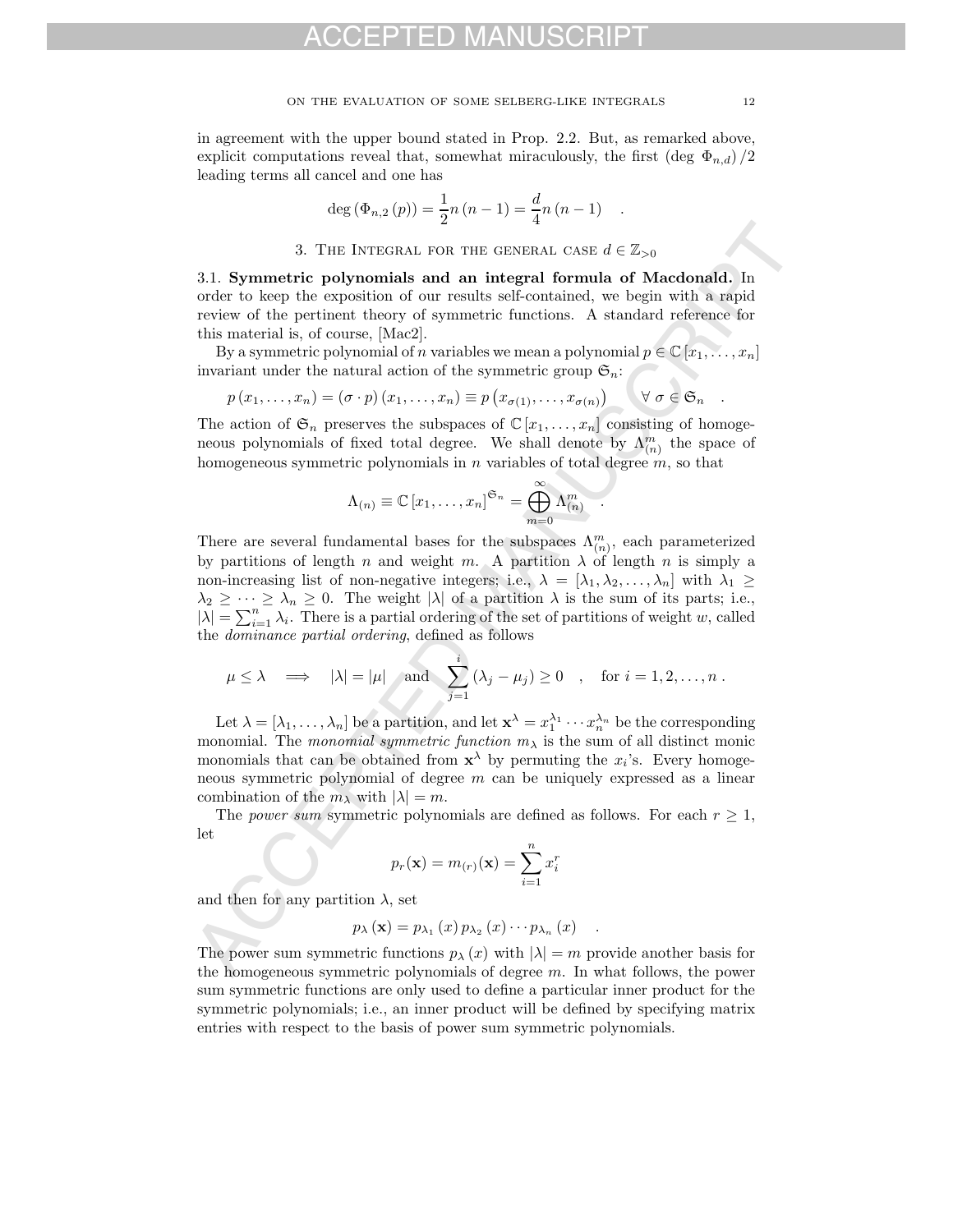in agreement with the upper bound stated in Prop. 2.2. But, as remarked above, explicit computations reveal that, somewhat miraculously, the first (deg  $\Phi_{n,d}$ )/2 leading terms all cancel and one has

$$
\deg (\Phi_{n,2}(p)) = \frac{1}{2}n(n-1) = \frac{d}{4}n(n-1) .
$$

3. THE INTEGRAL FOR THE GENERAL CASE  $d \in \mathbb{Z}_{>0}$ 

3.1. **Symmetric polynomials and an integral formula of Macdonald.** In order to keep the exposition of our results self-contained, we begin with a rapid review of the pertinent theory of symmetric functions. A standard reference for this material is, of course, [Mac2].

By a symmetric polynomial of n variables we mean a polynomial  $p \in \mathbb{C} [x_1, \ldots, x_n]$ invariant under the natural action of the symmetric group  $\mathfrak{S}_n$ :

$$
p(x_1,...,x_n) = (\sigma \cdot p)(x_1,...,x_n) \equiv p(x_{\sigma(1)},...,x_{\sigma(n)}) \qquad \forall \sigma \in \mathfrak{S}_n.
$$

The action of  $\mathfrak{S}_n$  preserves the subspaces of  $\mathbb{C}[x_1,\ldots,x_n]$  consisting of homogeneous polynomials of fixed total degree. We shall denote by  $\Lambda_{(n)}^m$  the space of homogeneous symmetric polynomials in  $n$  variables of total degree  $m$ , so that

$$
\Lambda_{(n)} \equiv \mathbb{C} [x_1, \ldots, x_n]^{\mathfrak{S}_n} = \bigoplus_{m=0}^{\infty} \Lambda_{(n)}^m
$$

3. The INTEGRAL FOR THE GENERAL CONFIGERATION of the rapid formula of Macdonaldi. In order to beep the sepacition of our results adformation, we begin with a rapid review of the pertinent theory of symmetric functions. A There are several fundamental bases for the subspaces  $\Lambda_{(n)}^m$ , each parameterized by partitions of length n and weight m. A partition  $\lambda$  of length n is simply a non-increasing list of non-negative integers; i.e.,  $\lambda = [\lambda_1, \lambda_2, \ldots, \lambda_n]$  with  $\lambda_1 \geq$  $\lambda_2 \geq \cdots \geq \lambda_n \geq 0$ . The weight  $|\lambda|$  of a partition  $\lambda$  is the sum of its parts; i.e.,  $|\lambda| = \sum_{i=1}^n \lambda_i$ . There is a partial ordering of the set of partitions of weight w, called the dominance partial ordering, defined as follows

$$
\mu \le \lambda \implies |\lambda| = |\mu|
$$
 and  $\sum_{j=1}^{i} (\lambda_j - \mu_j) \ge 0$ , for  $i = 1, 2, ..., n$ .

Let  $\lambda = [\lambda_1, \ldots, \lambda_n]$  be a partition, and let  $\mathbf{x}^{\lambda} = x_1^{\lambda_1} \cdots x_n^{\lambda_n}$  be the corresponding monomial. The monomial symmetric function  $m<sub>\lambda</sub>$  is the sum of all distinct monic monomials that can be obtained from  $x^{\lambda}$  by permuting the  $x_i$ 's. Every homogeneous symmetric polynomial of degree  $m$  can be uniquely expressed as a linear combination of the  $m_\lambda$  with  $|\lambda| = m$ .

The power sum symmetric polynomials are defined as follows. For each  $r \geq 1$ , let

$$
p_r(\mathbf{x}) = m_{(r)}(\mathbf{x}) = \sum_{i=1}^n x_i^r
$$

and then for any partition  $\lambda$ , set

$$
p_{\lambda}(\mathbf{x}) = p_{\lambda_1}(x) p_{\lambda_2}(x) \cdots p_{\lambda_n}(x) .
$$

The power sum symmetric functions  $p_{\lambda}(x)$  with  $|\lambda| = m$  provide another basis for the homogeneous symmetric polynomials of degree  $m$ . In what follows, the power sum symmetric functions are only used to define a particular inner product for the symmetric polynomials; i.e., an inner product will be defined by specifying matrix entries with respect to the basis of power sum symmetric polynomials.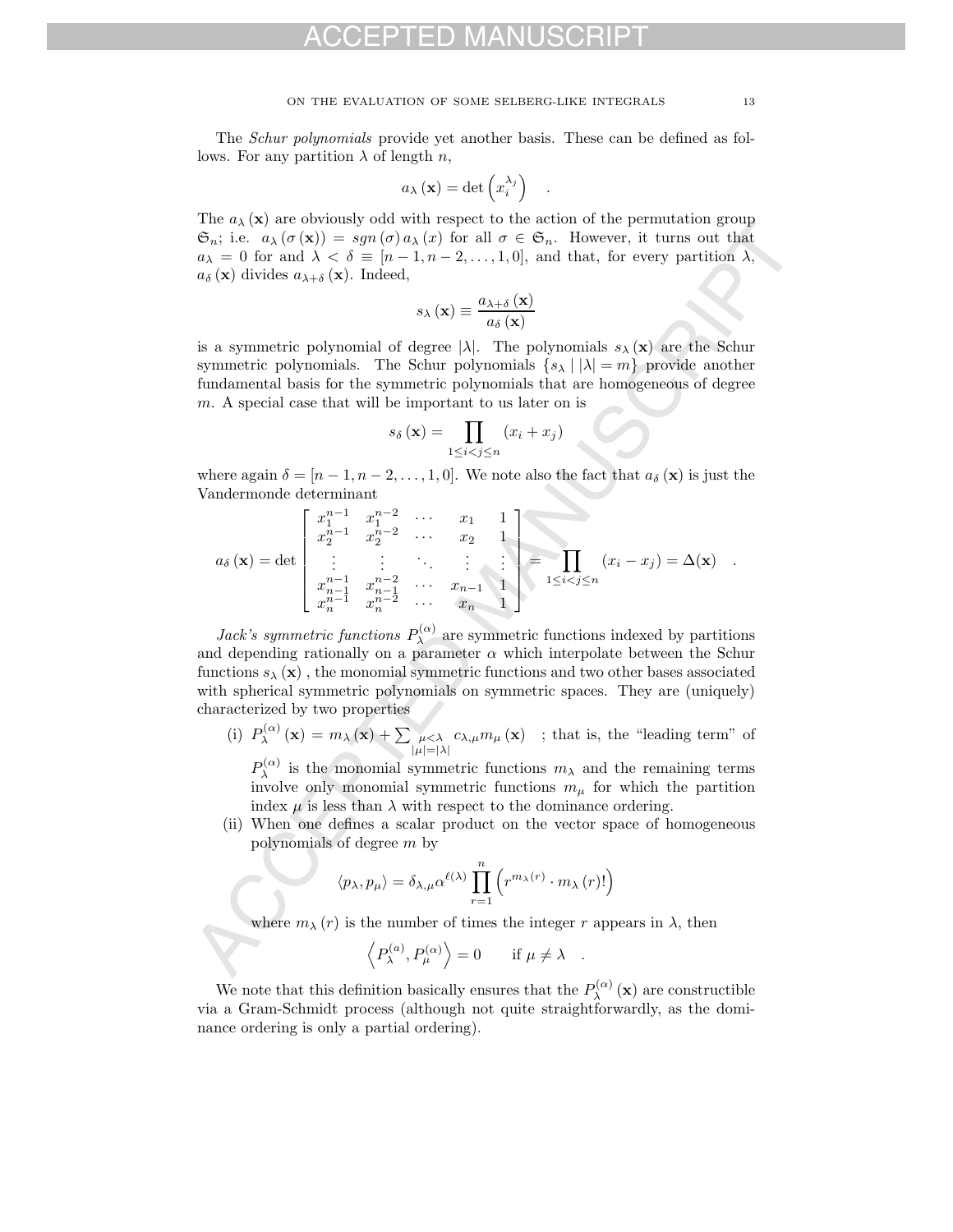The Schur polynomials provide yet another basis. These can be defined as follows. For any partition  $\lambda$  of length n,

$$
a_{\lambda}(\mathbf{x}) = \det \left(x_i^{\lambda_j}\right) .
$$

The  $a_{\lambda}(\mathbf{x})$  are obviously odd with respect to the action of the permutation group  $\mathfrak{S}_n$ ; i.e.  $a_\lambda(\sigma(\mathbf{x})) = sgn(\sigma)a_\lambda(x)$  for all  $\sigma \in \mathfrak{S}_n$ . However, it turns out that  $a_{\lambda} = 0$  for and  $\lambda < \delta \equiv [n-1, n-2, \ldots, 1, 0]$ , and that, for every partition  $\lambda$ ,  $a_{\delta}(\mathbf{x})$  divides  $a_{\lambda+\delta}(\mathbf{x})$ . Indeed,

$$
s_{\lambda}\left(\mathbf{x}\right) \equiv \frac{a_{\lambda+\delta}\left(\mathbf{x}\right)}{a_{\delta}\left(\mathbf{x}\right)}
$$

is a symmetric polynomial of degree  $|\lambda|$ . The polynomials  $s_{\lambda}(\mathbf{x})$  are the Schur symmetric polynomials. The Schur polynomials  $\{s_\lambda \mid |\lambda|=m\}$  provide another fundamental basis for the symmetric polynomials that are homogeneous of degree m. A special case that will be important to us later on is

$$
s_{\delta}\left(\mathbf{x}\right) = \prod_{1 \leq i < j \leq n} \left(x_i + x_j\right)
$$

where again  $\delta = [n-1, n-2, \ldots, 1, 0]$ . We note also the fact that  $a_{\delta}(\mathbf{x})$  is just the Vandermonde determinant

ACCEPTED MANUSCRIPT a<sup>δ</sup> (**x**) = det ⎡ ⎢ ⎢ ⎢ ⎢ ⎢ ⎣ x<sup>n</sup>−<sup>1</sup> <sup>1</sup> x<sup>n</sup>−<sup>2</sup> <sup>1</sup> ··· x<sup>1</sup> 1 x<sup>n</sup>−<sup>1</sup> <sup>2</sup> x<sup>n</sup>−<sup>2</sup> <sup>2</sup> ··· x<sup>2</sup> 1 . . . . . . ... . . . . . . <sup>x</sup><sup>n</sup>−<sup>1</sup> <sup>n</sup>−<sup>1</sup> <sup>x</sup><sup>n</sup>−<sup>2</sup> <sup>n</sup>−<sup>1</sup> ··· <sup>x</sup><sup>n</sup>−<sup>1</sup> <sup>1</sup> x<sup>n</sup>−<sup>1</sup> <sup>n</sup> x<sup>n</sup>−<sup>2</sup> <sup>n</sup> ··· x<sup>n</sup> 1 ⎤ ⎥ ⎥ ⎥ ⎥ ⎥ ⎦ = 1≤i<j≤n (x<sup>i</sup> − x<sup>j</sup> ) = Δ(**x**) .

Jack's symmetric functions  $P_{\lambda}^{(\alpha)}$  are symmetric functions indexed by partitions and depending rationally on a parameter  $\alpha$  which interpolate between the Schur functions  $s_{\lambda}(\mathbf{x})$ , the monomial symmetric functions and two other bases associated with spherical symmetric polynomials on symmetric spaces. They are (uniquely) characterized by two properties

(i)  $P_{\lambda}^{(\alpha)}(\mathbf{x}) = m_{\lambda}(\mathbf{x}) + \sum_{\mu < \lambda} \mu_{\mu}$  $|\mu|=|\lambda|$  $c_{\lambda,\mu}m_{\mu}(\mathbf{x})$  ; that is, the "leading term" of

 $P_{\lambda}^{(\alpha)}$  is the monomial symmetric functions  $m_{\lambda}$  and the remaining terms involve only monomial symmetric functions  $m_{\mu}$  for which the partition index  $\mu$  is less than  $\lambda$  with respect to the dominance ordering.

(ii) When one defines a scalar product on the vector space of homogeneous polynomials of degree m by

$$
\langle p_{\lambda}, p_{\mu} \rangle = \delta_{\lambda, \mu} \alpha^{\ell(\lambda)} \prod_{r=1}^{n} \left( r^{m_{\lambda}(r)} \cdot m_{\lambda}(r)! \right)
$$

where  $m_{\lambda}(r)$  is the number of times the integer r appears in  $\lambda$ , then

$$
\langle P_{\lambda}^{(a)}, P_{\mu}^{(\alpha)} \rangle = 0
$$
 if  $\mu \neq \lambda$ .

We note that this definition basically ensures that the  $P_{\lambda}^{(\alpha)}(\mathbf{x})$  are constructible via a Gram-Schmidt process (although not quite straightforwardly, as the dominance ordering is only a partial ordering).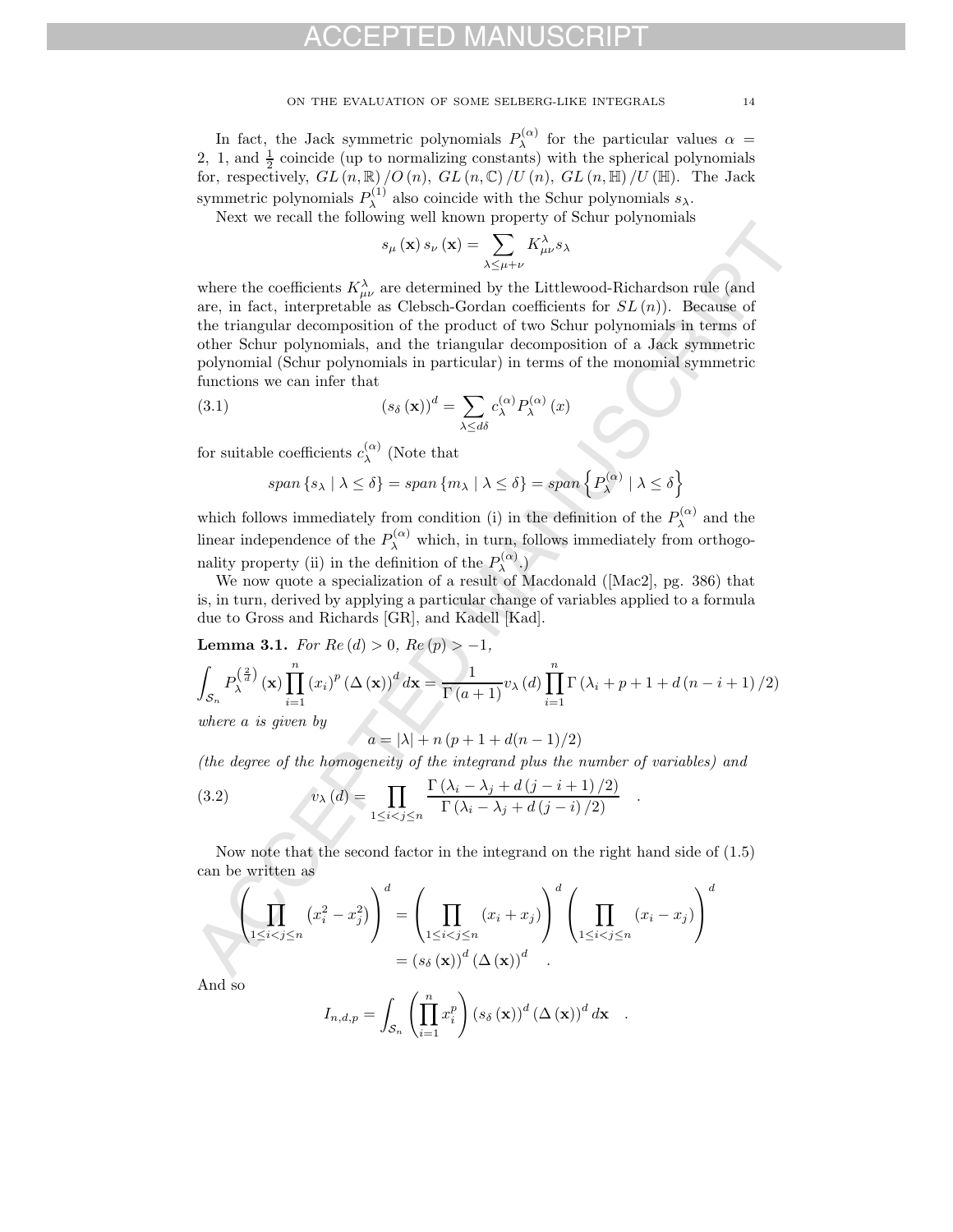#### ON THE EVALUATION OF SOME SELBERG-LIKE INTEGRALS 14

In fact, the Jack symmetric polynomials  $P_{\lambda}^{(\alpha)}$  for the particular values  $\alpha =$ 2, 1, and  $\frac{1}{2}$  coincide (up to normalizing constants) with the spherical polynomials for, respectively,  $GL(n,\mathbb{R})/O(n)$ ,  $GL(n,\mathbb{C})/U(n)$ ,  $GL(n,\mathbb{H})/U(\mathbb{H})$ . The Jack symmetric polynomials  $P_{\lambda}^{(1)}$  also coincide with the Schur polynomials  $s_{\lambda}$ .

Next we recall the following well known property of Schur polynomials

$$
s_{\mu}(\mathbf{x}) s_{\nu}(\mathbf{x}) = \sum_{\lambda \leq \mu + \nu} K^{\lambda}_{\mu\nu} s_{\lambda}
$$

rices we recent the network  $s_p(x) \propto (x) = \sum_{\text{min}} K_{ab}^2 x_3$ <br>where the coefficients  $K_{cb}^2$ , are determined by the Littlewood-Richardson rule (and<br>not, in fact, interpretation of the product of two Schur polynomials, for<br>t where the coefficients  $K^{\lambda}_{\mu\nu}$  are determined by the Littlewood-Richardson rule (and are, in fact, interpretable as Clebsch-Gordan coefficients for  $SL(n)$ ). Because of the triangular decomposition of the product of two Schur polynomials in terms of other Schur polynomials, and the triangular decomposition of a Jack symmetric polynomial (Schur polynomials in particular) in terms of the monomial symmetric functions we can infer that

(3.1) 
$$
\left(s_{\delta}\left(\mathbf{x}\right)\right)^{d} = \sum_{\lambda \leq d\delta} c_{\lambda}^{(\alpha)} P_{\lambda}^{(\alpha)}\left(x\right)
$$

for suitable coefficients  $c_{\lambda}^{(\alpha)}$  (Note that

$$
span\{s_{\lambda} \mid \lambda \leq \delta\} = span\{m_{\lambda} \mid \lambda \leq \delta\} = span\{P_{\lambda}^{(\alpha)} \mid \lambda \leq \delta\}
$$

which follows immediately from condition (i) in the definition of the  $P_{\lambda}^{(\alpha)}$  and the linear independence of the  $P_{\lambda}^{(\alpha)}$  which, in turn, follows immediately from orthogonality property (ii) in the definition of the  $P_{\lambda}^{(\alpha)}$ .)

We now quote a specialization of a result of Macdonald ([Mac2], pg. 386) that is, in turn, derived by applying a particular change of variables applied to a formula due to Gross and Richards [GR], and Kadell [Kad].

**Lemma 3.1.** For  $Re(d) > 0$ ,  $Re(p) > -1$ ,

$$
\int_{\mathcal{S}_n} P_{\lambda}^{\left(\frac{2}{d}\right)}(\mathbf{x}) \prod_{i=1}^n (x_i)^p \left(\Delta(\mathbf{x})\right)^d d\mathbf{x} = \frac{1}{\Gamma(a+1)} v_{\lambda}(d) \prod_{i=1}^n \Gamma\left(\lambda_i + p + 1 + d\left(n - i + 1\right)/2\right)
$$
  
where *a* is given by

where a is given by

 $a = |\lambda| + n (p + 1 + d(n - 1)/2)$ 

(the degree of the homogeneity of the integrand plus the number of variables) and

(3.2) 
$$
v_{\lambda}(d) = \prod_{1 \leq i < j \leq n} \frac{\Gamma(\lambda_i - \lambda_j + d(j - i + 1)/2)}{\Gamma(\lambda_i - \lambda_j + d(j - i)/2)}.
$$

Now note that the second factor in the integrand on the right hand side of (1.5) can be written as

$$
\left(\prod_{1 \leq i < j \leq n} \left(x_i^2 - x_j^2\right)\right)^d = \left(\prod_{1 \leq i < j \leq n} \left(x_i + x_j\right)\right)^d \left(\prod_{1 \leq i < j \leq n} \left(x_i - x_j\right)\right)^d
$$
\n
$$
= \left(s_\delta\left(\mathbf{x}\right)\right)^d \left(\Delta\left(\mathbf{x}\right)\right)^d
$$

And so

$$
I_{n,d,p} = \int_{\mathcal{S}_n} \left( \prod_{i=1}^n x_i^p \right) \left( s_\delta \left( \mathbf{x} \right) \right)^d \left( \Delta \left( \mathbf{x} \right) \right)^d d\mathbf{x} .
$$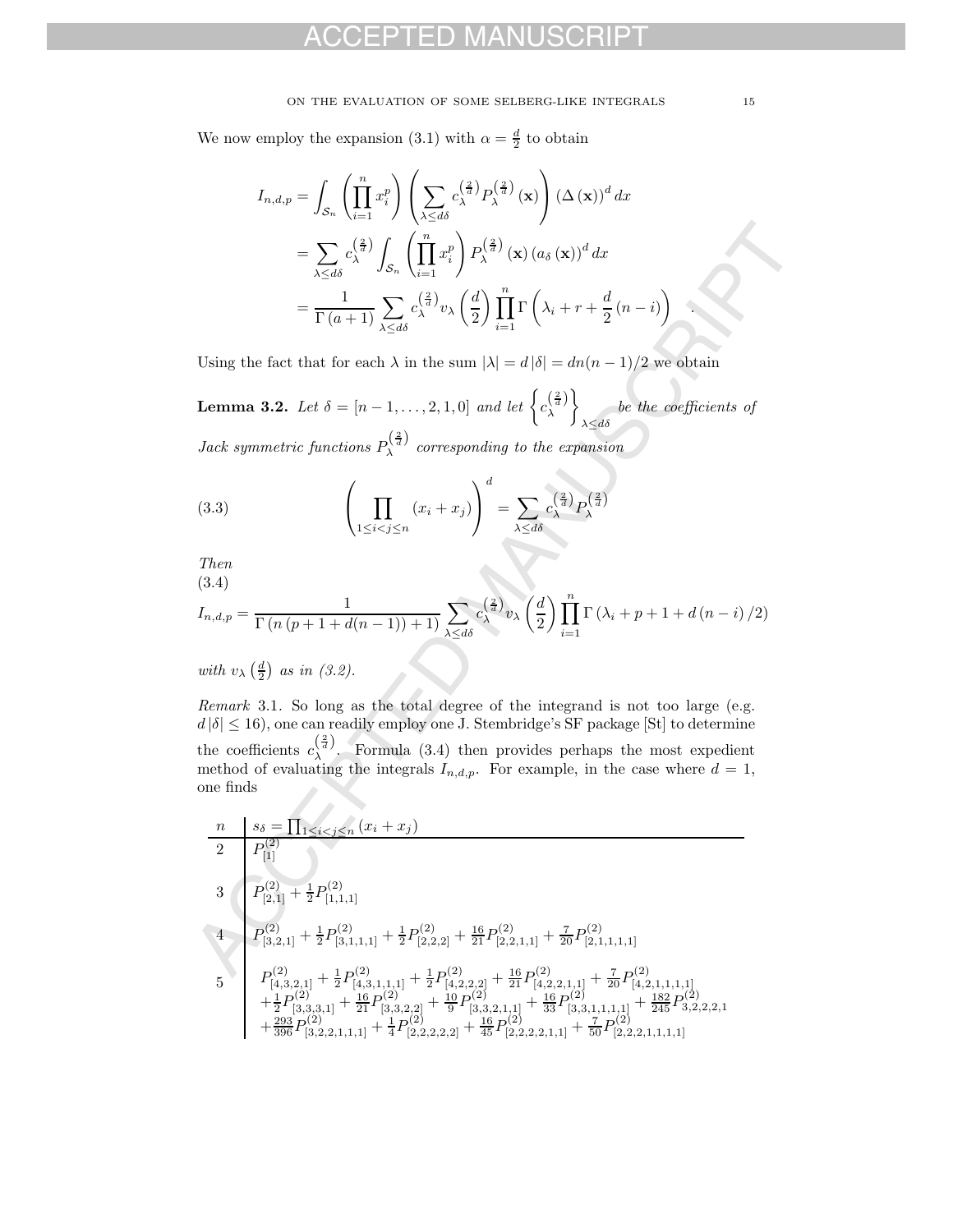#### ON THE EVALUATION OF SOME SELBERG-LIKE INTEGRALS 15

We now employ the expansion (3.1) with  $\alpha = \frac{d}{2}$  to obtain

$$
I_{n,d,p} = \int_{\mathcal{S}_n} \left( \prod_{i=1}^n x_i^p \right) \left( \sum_{\lambda \le d\delta} c_{\lambda}^{\left(\frac{2}{d}\right)} P_{\lambda}^{\left(\frac{2}{d}\right)} (\mathbf{x}) \right) (\Delta (\mathbf{x}))^d dx
$$
  

$$
= \sum_{\lambda \le d\delta} c_{\lambda}^{\left(\frac{2}{d}\right)} \int_{\mathcal{S}_n} \left( \prod_{i=1}^n x_i^p \right) P_{\lambda}^{\left(\frac{2}{d}\right)} (\mathbf{x}) (a_{\delta} (\mathbf{x}))^d dx
$$
  

$$
= \frac{1}{\Gamma(a+1)} \sum_{\lambda \le d\delta} c_{\lambda}^{\left(\frac{2}{d}\right)} v_{\lambda} \left(\frac{d}{2}\right) \prod_{i=1}^n \Gamma \left(\lambda_i + r + \frac{d}{2} (n-i)\right)
$$

Using the fact that for each  $\lambda$  in the sum  $|\lambda| = d |\delta| = dn(n-1)/2$  we obtain

**Lemma 3.2.** Let  $\delta = [n - 1, ..., 2, 1, 0]$  and let  $\left\{ c_{\lambda}^{(\frac{2}{d})} \right\}$ /  $\lambda \leq d\delta$ be the coefficients of Jack symmetric functions  $P_{\lambda}^{(\frac{2}{d})}$  corresponding to the expansion

(3.3) 
$$
\left(\prod_{1 \leq i < j \leq n} (x_i + x_j)\right)^d = \sum_{\lambda \leq d\delta} c_{\lambda}^{\left(\frac{2}{d}\right)} P_{\lambda}^{\left(\frac{2}{d}\right)}
$$

Then (3.4)

$$
I_{n,d,p} = \frac{1}{\Gamma(n\left(p+1+d(n-1)\right)+1)} \sum_{\lambda \le d\delta} c_{\lambda}^{\left(\frac{2}{d}\right)} v_{\lambda} \left(\frac{d}{2}\right) \prod_{i=1}^{n} \Gamma\left(\lambda_i + p + 1 + d\left(n-i\right)/2\right)
$$

with  $v_{\lambda} \left( \frac{d}{2} \right)$  as in (3.2).

Remark 3.1. So long as the total degree of the integrand is not too large (e.g.  $d |\delta| \leq 16$ , one can readily employ one J. Stembridge's SF package [St] to determine the coefficients  $c_{\lambda}^{(\frac{2}{d})}$ . Formula (3.4) then provides perhaps the most expedient method of evaluating the integrals  $I_{n,d,p}$ . For example, in the case where  $d=1$ , one finds

$$
= \sum_{\lambda \leq d\delta} c_{\lambda}^{(\frac{2}{3})} \int_{\mathcal{S}_{n}} \left( \prod_{i=1}^{n} x_{i}^{p} \right) P_{\lambda}^{(\frac{2}{3})}(\mathbf{x}) (a_{\delta}(\mathbf{x}))^{d} dx
$$
\n
$$
= \frac{1}{\Gamma(a+1)} \sum_{\lambda \leq d\delta} c_{\lambda}^{(\frac{2}{3})} v_{\lambda} \left( \frac{d}{2} \right) \prod_{i=1}^{n} \Gamma\left(\lambda_{i} + r + \frac{d}{2}(n-i) \right)
$$
\nUsing the fact that for each  $\lambda$  in the sum  $|\lambda| = d |\delta| = dn(n-1)/2$  we obtain  
\n**Lemma 3.2.** Let  $\delta = [n-1, ..., 2, 1, 0]$  and let  $\left\{ c_{\lambda}^{(\frac{2}{3})} \right\}_{\lambda \leq d\delta}$  be the coefficients of  
\nJack symmetric functions  $P_{\lambda}^{(\frac{2}{3})}$  corresponding to the expansion  
\n(3.3)  
\n
$$
\left( \prod_{1 \leq i < j \leq n} (x_{i} + x_{j}) \right)^{d} = \sum_{\lambda \leq d\delta} c_{\lambda}^{(\frac{2}{3})} P_{\lambda}^{(\frac{2}{3})}
$$
\nThen  
\n(3.4)  
\n $I_{n,d,p} = \frac{1}{\Gamma(n(p+1+d(n-1))+1)} \sum_{\lambda \leq d\delta} c_{\lambda}^{(\frac{2}{3})} v_{\lambda} \left( \frac{d}{2} \right) \prod_{i=1}^{n} \Gamma(\lambda_{i} + p + 1 + d(n-i)/2)$   
\nwith  $v_{\lambda} (\frac{d}{2})$  as in (3.2).  
\nRemark 3.1. So long as the total degree of the integrand is not too large (e.g.  
\n $d|\delta| \leq 16$ ), one can readily employ one J. Stembridge's SF package [St] to determine  
\nthe coefficients  $c_{\lambda}^{(\frac{2}{3})}$ . Formula (3.4) then provides perhaps the most expenditure  
\nmethod of evaluating the integrals  $I_{n,d,p}$ . For example, in the case where  $d = 1$ ,  
\none finds  
\n
$$
\frac{n}{P_{[2]}^{(2)}} = \frac{s_{\delta} = \prod_{1 \leq i <
$$

.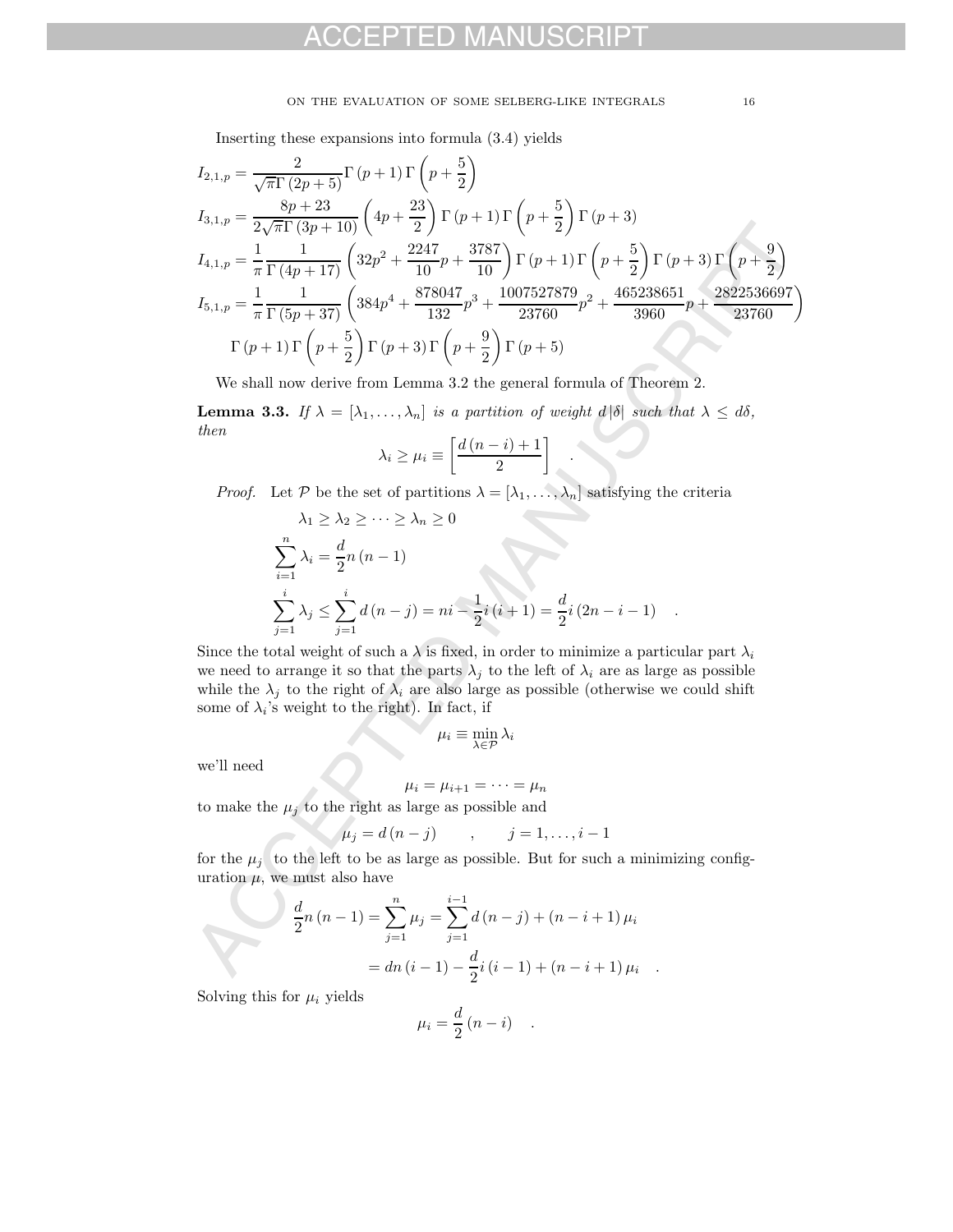#### ON THE EVALUATION OF SOME SELBERG-LIKE INTEGRALS 16

Inserting these expansions into formula (3.4) yields

$$
I_{2,1,p} = \frac{2}{\sqrt{\pi} \Gamma (2p+5)} \Gamma (p+1) \Gamma (p+\frac{5}{2})
$$
  
\n
$$
I_{3,1,p} = \frac{8p+23}{2\sqrt{\pi} \Gamma (3p+10)} \left( 4p+\frac{23}{2} \right) \Gamma (p+1) \Gamma (p+\frac{5}{2}) \Gamma (p+3)
$$
  
\n
$$
I_{4,1,p} = \frac{1}{\pi \Gamma (4p+17)} \left( 32p^2 + \frac{2247}{10}p + \frac{3787}{10} \right) \Gamma (p+1) \Gamma (p+\frac{5}{2}) \Gamma (p+3) \Gamma (p+\frac{9}{2})
$$
  
\n
$$
I_{5,1,p} = \frac{1}{\pi \Gamma (5p+37)} \left( 384p^4 + \frac{878041}{132}p^3 + \frac{1007527879}{23760}p^2 + \frac{465238651}{3960}p + \frac{2822536697}{23760} \right)
$$
  
\n
$$
\Gamma (p+1) \Gamma (p+\frac{5}{2}) \Gamma (p+3) \Gamma (p+\frac{9}{2}) \Gamma (p+5)
$$
  
\nWe shall now derive from Lemma 3.2 the general formula of Theorem 2.  
\n**Lemma 3.3.** If  $\lambda = [\lambda_1, ..., \lambda_n]$  is a partition of weight  $d|\delta|$  such that  $\lambda \le d\delta$ ,  
\nthen  
\n
$$
\lambda_i \ge \mu_i \equiv \left[ \frac{d(n-i)+1}{2} \right]
$$
  
\n*Proof.* Let  $\mathcal{P}$  be the set of partitions  $\lambda = [\lambda_1, ..., \lambda_n]$  satisfying the criteria  
\n $\lambda_1 \ge \lambda_2 \ge \cdots \ge \lambda_n \ge 0$   
\n
$$
\sum_{i=1}^n \lambda_i = \frac{d}{2}n(n-1)
$$
  
\n
$$
\sum_{j=1}^i \lambda_j \le \sum_{j=1}^i d(n-j) = ni - \frac{1}{2}i(i+1) = \frac{d}{2}i(2n-i-1)
$$
  
\nSince the total weight of such a  $\lambda$  is fixed, in order to minimize a particular part  $\lambda$ 

We shall now derive from Lemma 3.2 the general formula of Theorem 2.

**Lemma 3.3.** If  $\lambda = [\lambda_1, \ldots, \lambda_n]$  is a partition of weight  $d \mid \delta$  such that  $\lambda \leq d\delta$ , then

.

$$
\lambda_i \ge \mu_i \equiv \left[\frac{d\left(n-i\right)+1}{2}\right]
$$

*Proof.* Let P be the set of partitions  $\lambda = [\lambda_1, \ldots, \lambda_n]$  satisfying the criteria

$$
\lambda_1 \geq \lambda_2 \geq \dots \geq \lambda_n \geq 0
$$
  

$$
\sum_{i=1}^n \lambda_i = \frac{d}{2}n (n-1)
$$
  

$$
\sum_{j=1}^i \lambda_j \leq \sum_{j=1}^i d(n-j) = ni - \frac{1}{2}i (i+1) = \frac{d}{2}i (2n-i-1)
$$

Since the total weight of such a  $\lambda$  is fixed, in order to minimize a particular part  $\lambda_i$ we need to arrange it so that the parts  $\lambda_j$  to the left of  $\lambda_i$  are as large as possible while the  $\lambda_j$  to the right of  $\lambda_i$  are also large as possible (otherwise we could shift some of  $\lambda_i$ 's weight to the right). In fact, if

$$
\mu_i \equiv \min_{\lambda \in \mathcal{P}} \lambda_i
$$

we'll need

$$
\mu_i = \mu_{i+1} = \cdots = \mu_n
$$

to make the  $\mu_j$  to the right as large as possible and

$$
\mu_j = d(n-j) \qquad , \qquad j=1,\ldots,i-1
$$

for the  $\mu_j$  to the left to be as large as possible. But for such a minimizing configuration  $\mu$ , we must also have

$$
\frac{d}{2}n(n-1) = \sum_{j=1}^{n} \mu_j = \sum_{j=1}^{i-1} d(n-j) + (n-i+1)\mu_i
$$

$$
= dn(i-1) - \frac{d}{2}i(i-1) + (n-i+1)\mu_i.
$$

Solving this for  $\mu_i$  yields

$$
\mu_i = \frac{d}{2} (n - i) \quad .
$$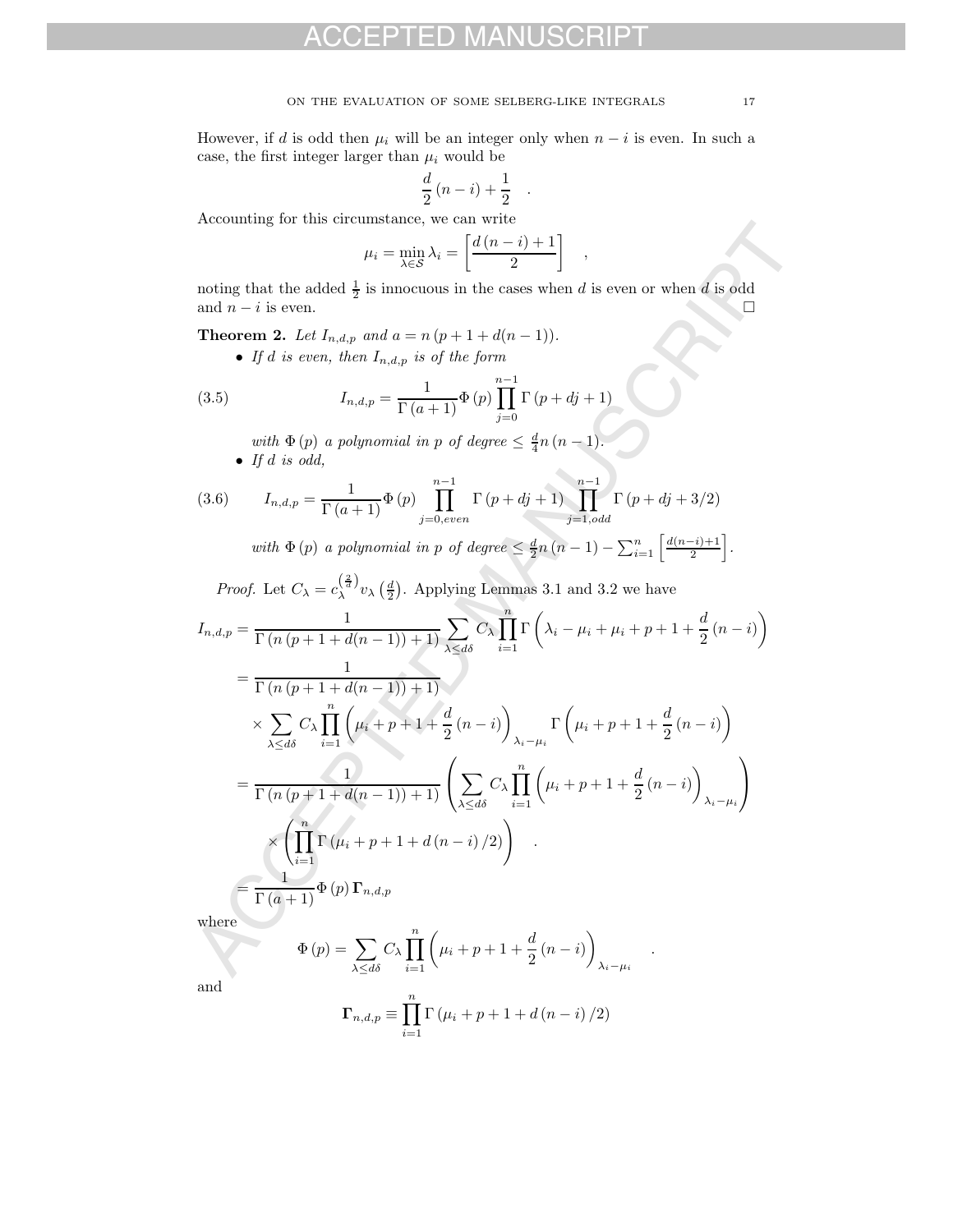However, if d is odd then  $\mu_i$  will be an integer only when  $n - i$  is even. In such a case, the first integer larger than  $\mu_i$  would be

$$
\frac{d}{2}(n-i)+\frac{1}{2}.
$$

Accounting for this circumstance, we can write

$$
\mu_i = \min_{\lambda \in \mathcal{S}} \lambda_i = \left[ \frac{d(n-i)+1}{2} \right]
$$

,

noting that the added  $\frac{1}{2}$  is innocuous in the cases when d is even or when d is odd and  $n - i$  is even.  $\Box$ 

**Theorem 2.** Let  $I_{n,d,p}$  and  $a = n (p + 1 + d(n - 1)).$ 

• If d is even, then  $I_{n,d,p}$  is of the form

(3.5) 
$$
I_{n,d,p} = \frac{1}{\Gamma(a+1)} \Phi(p) \prod_{j=0}^{n-1} \Gamma(p+dj+1)
$$

with  $\Phi(p)$  a polynomial in p of degree  $\leq \frac{d}{4}n(n-1)$ . • If  $d$  is odd,

(3.6) 
$$
I_{n,d,p} = \frac{1}{\Gamma(a+1)} \Phi(p) \prod_{j=0,even}^{n-1} \Gamma(p+dj+1) \prod_{j=1,odd}^{n-1} \Gamma(p+dj+3/2)
$$

with  $\Phi(p)$  a polynomial in p of degree  $\leq \frac{d}{2}n(n-1) - \sum_{i=1}^{n} \left[ \frac{d(n-i)+1}{2} \right]$ .

*Proof.* Let  $C_{\lambda} = c_{\lambda}^{\left(\frac{2}{d}\right)} v_{\lambda} \left(\frac{d}{2}\right)$ . Applying Lemmas 3.1 and 3.2 we have

According to this circumstance, we can write 
$$
\mu_i = \frac{\ln(\ln - i) + 1}{\lambda \epsilon S} \bigg|_{1}^{2} \quad ,
$$
 noting that the added  $\frac{1}{2}$  is innocuous in the cases when *d* is even or when *d* is odd and *n* − *i* is even.   
**Theorem 2.** Let  $I_{n,d,p}$  and  $a = n(p + 1 + d(n - 1))$ .   
• If *d* is even, then  $I_{n,d,p}$  is of the form\n
$$
(3.5) \qquad I_{n,d,p} = \frac{1}{\Gamma(a+1)} \Phi(p) \prod_{j=0}^{n-1} \Gamma(p + dj + 1)
$$
with  $\Phi(p)$  a polynomial in *p* of degree  $\leq \frac{d}{4}n(n - 1)$ .   
• If *d* is odd,   

$$
(3.6) \qquad I_{n,d,p} = \frac{1}{\Gamma(a+1)} \Phi(p) \prod_{j=0,even}^{n-1} \Gamma(p + dj + 1) \prod_{j=1,odd}^{n-1} \Gamma(p + dj + 3/2)
$$
with  $\Phi(p)$  a polynomial in *p* of degree  $\leq \frac{d}{2}n(n - 1) - \sum_{i=1}^{n} \left[ \frac{d(n-i)+1}{2} \right]$ .  
*Proof.* Let  $C_{\lambda} = c_{\lambda}^{(\frac{2}{d})} v_{\lambda} (\frac{d}{2})$ . Applying Lemmas 3.1 and 3.2 we have\n
$$
I_{n,d,p} = \frac{1}{\Gamma(n(p+1+d(n-1))+1)} \sum_{\lambda \leq d\delta} C_{\lambda} \prod_{i=1}^{n} \Gamma\left(\lambda_i - \mu_i + \mu_i + p + 1 + \frac{d}{2}(n-i)\right)
$$
\n
$$
= \frac{1}{\Gamma(n(p+1+d(n-1))+1)} \left(\sum_{\lambda \leq d\delta} C_{\lambda} \prod_{i=1}^{n} \left(\mu_i + p + 1 + \frac{d}{2}(n-i)\right) \lambda_{i-\mu_i}\right)
$$
\n
$$
\times \left(\prod_{i=1}^{n} \Gamma(\mu_i + p + 1 + d(n-i)/2)\right)
$$

where

$$
\Phi(p) = \sum_{\lambda \le d\delta} C_{\lambda} \prod_{i=1}^{n} \left( \mu_i + p + 1 + \frac{d}{2} (n - i) \right)_{\lambda_i - \mu_i}
$$

and

$$
\Gamma_{n,d,p} \equiv \prod_{i=1}^{n} \Gamma(\mu_i + p + 1 + d(n - i) / 2)
$$

.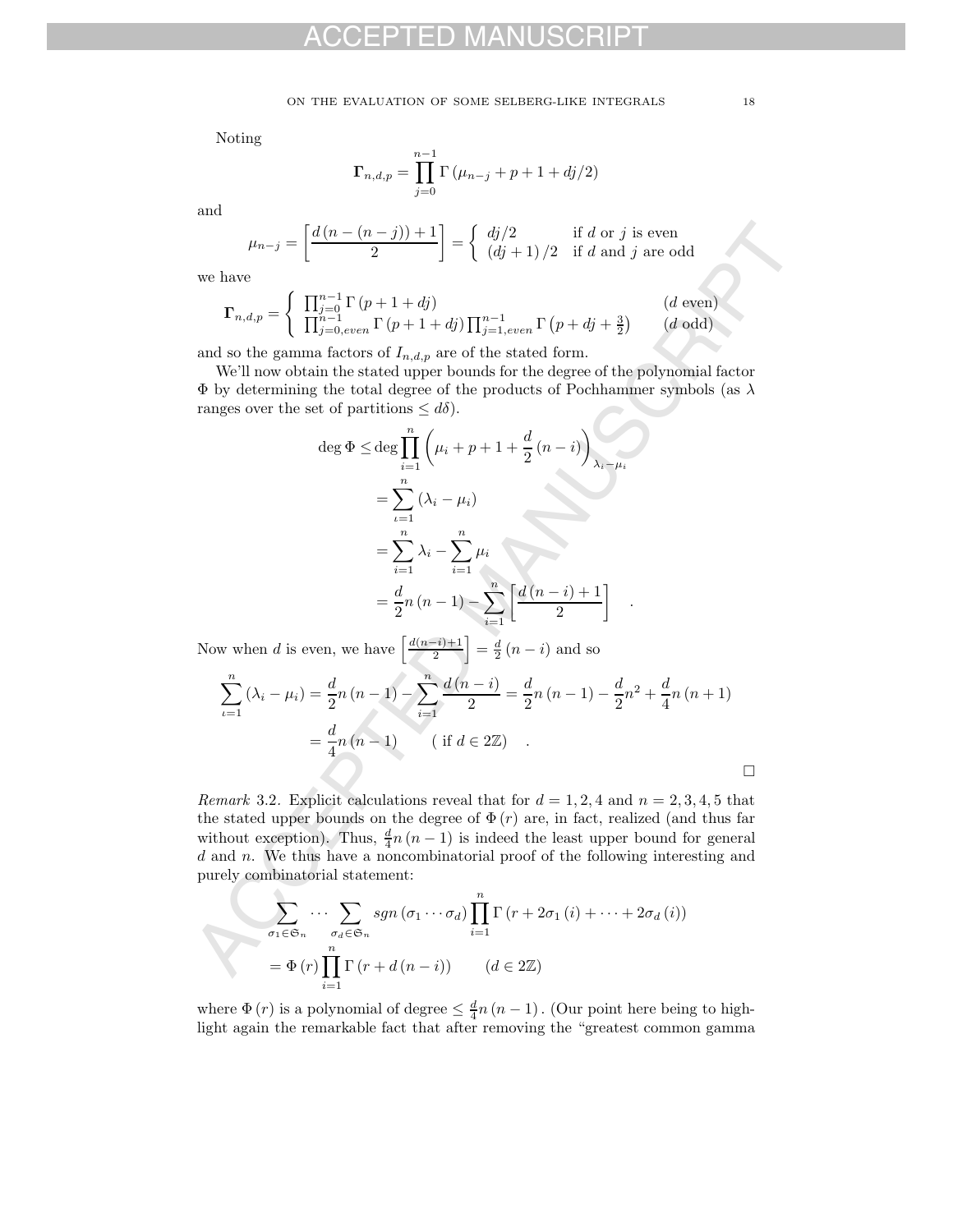Noting

$$
\Gamma_{n,d,p} = \prod_{j=0}^{n-1} \Gamma(\mu_{n-j} + p + 1 + dj/2)
$$

and

$$
\mu_{n-j} = \left[ \frac{d\left(n - (n-j)\right) + 1}{2} \right] = \begin{cases} \frac{dj}{2} & \text{if } d \text{ or } j \text{ is even} \\ \frac{dj}{2} + 1 \end{cases}
$$

we have

$$
\Gamma_{n,d,p} = \begin{cases} \prod_{j=0}^{n-1} \Gamma(p+1+dj) & (d \text{ even})\\ \prod_{j=0,even}^{n-1} \Gamma(p+1+dj) \prod_{j=1,even}^{n-1} \Gamma(p+dj+\frac{3}{2}) & (d \text{ odd}) \end{cases}
$$

and so the gamma factors of  $I_{n,d,p}$  are of the stated form.

We'll now obtain the stated upper bounds for the degree of the polynomial factor  $\Phi$  by determining the total degree of the products of Pochhammer symbols (as  $\lambda$ ) ranges over the set of partitions  $\leq d\delta$ .

$$
\mu_{n-j} = \left[ \frac{d(n - (n - j)) + 1}{2} \right] = \begin{cases} d(j/2) & \text{if } d \text{ or } j \text{ is even} \\ (dj + 1)/2 & \text{if } d \text{ and } j \text{ are odd} \end{cases}
$$
  
\nwe have  
\n
$$
\Gamma_{n,d,p} = \begin{cases} \prod_{j=0,even}^{n-1} \Gamma(p + 1 + dj) & (d \text{ even}) \\ \prod_{j=0,even}^{n-1} \Gamma(p + 1 + dj) \prod_{j=1,even}^{n-1} \Gamma(p + dj + \frac{3}{2}) & (d \text{ odd}) \end{cases}
$$
  
\nand so the gamma factors of  $I_{n,d,p}$  are of the stated form.  
\nWe'll now obtain the stated upper bounds for the degree of the polynomial factor  
\n $\Phi$  by determining the total degree of the products of Pochhammer symbols (as  $\lambda$   
\nranges over the set of partitions  $\leq d\delta$ ).  
\n
$$
\deg \Phi \leq \deg \prod_{i=1}^{n} (\mu_i + p + 1 + \frac{d}{2}(n - i))_{\lambda_i - \mu_i}
$$
\n
$$
= \sum_{i=1}^{n} (\lambda_i - \mu_i)
$$
\n
$$
= \sum_{i=1}^{n} \lambda_i - \sum_{i=1}^{n} \mu_i
$$
\n
$$
= \frac{d}{2}n(n - 1) - \sum_{i=1}^{n} \left[ \frac{d(n - i) + 1}{2} \right] \quad .
$$
\nNow when  $d$  is even, we have  $\left[ \frac{d(n - j) + 1}{2} \right] = \frac{d}{2}(n - i)$  and so  
\n
$$
\sum_{i=1}^{n} (\lambda_i - \mu_i) = \frac{d}{2}n(n - 1) - \sum_{i=1}^{n} \frac{d(n - i)}{2} = \frac{d}{2}n(n - 1) - \frac{d}{2}n^2 + \frac{d}{4}n(n + 1)
$$
\n
$$
= \frac{d}{4}n(n - 1) \qquad (\text{if } d \in 2\mathbb{Z})
$$
\nRemark 3.2. Explicit calculations reveal that for  $d = 1, 2, 4$  and  $n = 2, 3, 4, 5$  that  
\nthe stated upper bounds on the degree of  $\Phi(r)$  are

Now when d is even, we have  $\left\lceil \frac{d(n-i)+1}{2} \right\rceil = \frac{d}{2}(n-i)$  and so

$$
\sum_{i=1}^{n} (\lambda_i - \mu_i) = \frac{d}{2}n(n-1) - \sum_{i=1}^{n} \frac{d(n-i)}{2} = \frac{d}{2}n(n-1) - \frac{d}{2}n^2 + \frac{d}{4}n(n+1)
$$

$$
= \frac{d}{4}n(n-1) \qquad (\text{if } d \in 2\mathbb{Z}) .
$$

*Remark* 3.2. Explicit calculations reveal that for  $d = 1, 2, 4$  and  $n = 2, 3, 4, 5$  that the stated upper bounds on the degree of  $\Phi(r)$  are, in fact, realized (and thus far without exception). Thus,  $\frac{d}{4}n(n-1)$  is indeed the least upper bound for general d and n. We thus have a noncombinatorial proof of the following interesting and purely combinatorial statement:

$$
\sum_{\sigma_1 \in \mathfrak{S}_n} \cdots \sum_{\sigma_d \in \mathfrak{S}_n} sgn(\sigma_1 \cdots \sigma_d) \prod_{i=1}^n \Gamma(r + 2\sigma_1(i) + \cdots + 2\sigma_d(i))
$$

$$
= \Phi(r) \prod_{i=1}^n \Gamma(r + d(n - i)) \qquad (d \in 2\mathbb{Z})
$$

where  $\Phi(r)$  is a polynomial of degree  $\leq \frac{d}{4}n(n-1)$ . (Our point here being to highlight again the remarkable fact that after removing the "greatest common gamma

 $\Box$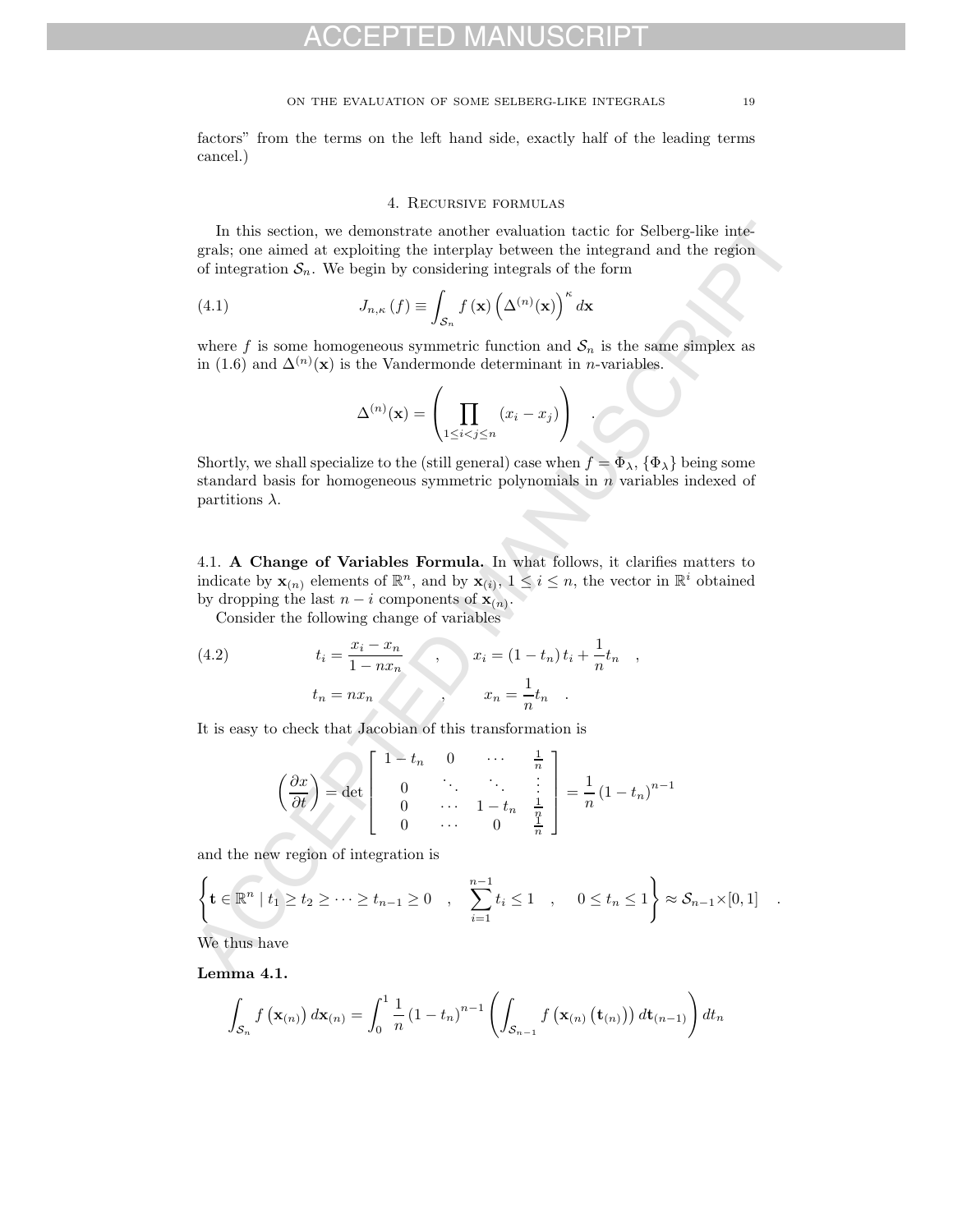factors" from the terms on the left hand side, exactly half of the leading terms cancel.)

#### 4. Recursive formulas

In this section, we demonstrate another evaluation tactic for Selberg-like integrals; one aimed at exploiting the interplay between the integrand and the region of integration  $S_n$ . We begin by considering integrals of the form

(4.1) 
$$
J_{n,\kappa}(f) \equiv \int_{\mathcal{S}_n} f(\mathbf{x}) \left(\Delta^{(n)}(\mathbf{x})\right)^{\kappa} d\mathbf{x}
$$

where f is some homogeneous symmetric function and  $S_n$  is the same simplex as in (1.6) and  $\Delta^{(n)}(\mathbf{x})$  is the Vandermonde determinant in *n*-variables.

$$
\Delta^{(n)}(\mathbf{x}) = \left(\prod_{1 \leq i < j \leq n} (x_i - x_j)\right) \quad .
$$

Shortly, we shall specialize to the (still general) case when  $f = \Phi_{\lambda}$ ,  $\{\Phi_{\lambda}\}\$ being some standard basis for homogeneous symmetric polynomials in  $n$  variables indexed of partitions  $\lambda$ .

4.1. **A Change of Variables Formula.** In what follows, it clarifies matters to indicate by  $\mathbf{x}_{(n)}$  elements of  $\mathbb{R}^n$ , and by  $\mathbf{x}_{(i)}$ ,  $1 \leq i \leq n$ , the vector in  $\mathbb{R}^i$  obtained by dropping the last  $n - i$  components of  $\mathbf{x}_{(n)}$ .

Consider the following change of variables

(4.2) 
$$
t_{i} = \frac{x_{i} - x_{n}}{1 - nx_{n}}, \qquad x_{i} = (1 - t_{n}) t_{i} + \frac{1}{n} t_{n},
$$

$$
t_{n} = nx_{n}, \qquad x_{n} = \frac{1}{n} t_{n}.
$$

It is easy to check that Jacobian of this transformation is

In this section, we demonstrate another evaluation tactic for Selberg-like integrals; one aimed at exploiting the interplay between the integrand and the region of integration 
$$
\mathcal{S}_n
$$
. We begin by considering integrals of the form  $(4.1)$   $J_{n,\kappa}(f) \equiv \int_{\mathcal{S}_n} f(\mathbf{x}) \left(\Delta^{(n)}(\mathbf{x})\right)^{\kappa} d\mathbf{x}$  where  $f$  is some homogeneous symmetric function and  $\mathcal{S}_n$  is the same simplex as in (1.6) and  $\Delta^{(n)}(\mathbf{x})$  is the Vandermonde determinant in *n*-variables.  $\Delta^{(n)}(\mathbf{x}) = \left(\prod_{1 \leq i < j \leq n} (x_i - x_j)\right)$ .  
\nShortly, we shall specialize to the (still general) case when  $f = \Phi_{\lambda}, \{\Phi_{\lambda}\}$  being some standard basis for homogeneous symmetric polynomials in *n* variables indexed of partitions  $\lambda$ .  
\n4.1. **A Change of Variables Formula**. In what follows, it clarifies matters to indicate by  $\mathbf{x}_{(n)}$  elements of  $\mathbb{R}^n$ , and by  $\mathbf{x}_{(i)}$ ,  $1 \leq i \leq n$ , the vector in  $\mathbb{R}^i$  obtained by dropping the last  $n-i$  components of  $\mathbf{x}_{(n)}$ . Consider the following change of variables  
\n(4.2)  $t_i = \frac{x_i - x_n}{1 - nx_n}$ ,  $x_i = (1 - t_n)t_i + \frac{1}{n}t_n$ ,  $t_n = nx_n$ ,  $x_n = \frac{1}{n}t_n$ .  
\nIt is easy to check that Jacobian of this transformation is  $\left(\frac{\partial x}{\partial t}\right) = \det \begin{bmatrix} 1 - t_n & 0 & \cdots & \frac{1}{n} \\ 0 & \ddots & \ddots & \vdots \\ 0 & \cdots & 1 - t_n & \frac{1}{q} \\ 0 & \cdots & 0 & \frac{1}{n} \end{bmatrix} = \frac{1}{n}(1 - t_n)^{n-1}$  and the new region of integration is  $\left\{ \math$ 

and the new region of integration is

$$
\left\{\mathbf{t}\in\mathbb{R}^n\mid t_1\geq t_2\geq\cdots\geq t_{n-1}\geq 0\quad,\quad\sum_{i=1}^{n-1}t_i\leq 1\quad,\quad 0\leq t_n\leq 1\right\}\approx\mathcal{S}_{n-1}\times[0,1]\quad.
$$

We thus have

**Lemma 4.1.**

$$
\int_{\mathcal{S}_n} f(\mathbf{x}_{(n)}) d\mathbf{x}_{(n)} = \int_0^1 \frac{1}{n} (1 - t_n)^{n-1} \left( \int_{\mathcal{S}_{n-1}} f(\mathbf{x}_{(n)}(t_{(n)})) d t_{(n-1)} \right) dt_n
$$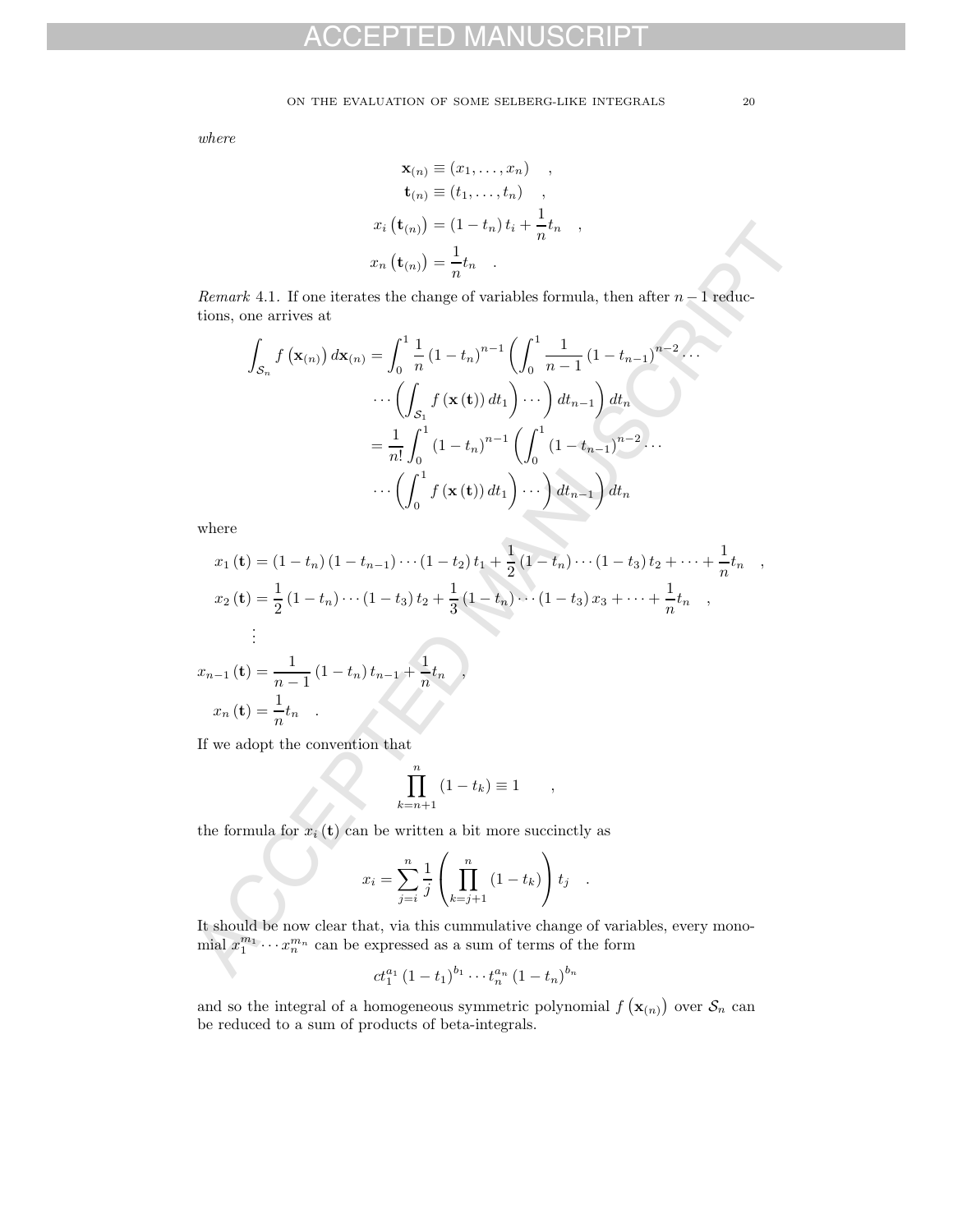#### ON THE EVALUATION OF SOME SELBERG-LIKE INTEGRALS  $\hspace{2.5mm} 20$

where

$$
\mathbf{x}_{(n)} \equiv (x_1, \dots, x_n) ,
$$
  
\n
$$
\mathbf{t}_{(n)} \equiv (t_1, \dots, t_n) ,
$$
  
\n
$$
x_i (\mathbf{t}_{(n)}) = (1 - t_n) t_i + \frac{1}{n} t_n ,
$$
  
\n
$$
x_n (\mathbf{t}_{(n)}) = \frac{1}{n} t_n .
$$

Remark 4.1. If one iterates the change of variables formula, then after  $n-1$  reductions, one arrives at

$$
\int_{\mathcal{S}_n} f(\mathbf{x}_{(n)}) d\mathbf{x}_{(n)} = \int_0^1 \frac{1}{n} (1 - t_n)^{n-1} \left( \int_0^1 \frac{1}{n-1} (1 - t_{n-1})^{n-2} \cdots \right. \n\cdots \left( \int_{\mathcal{S}_1} f(\mathbf{x}(t)) dt_1 \right) \cdots \right) dt_{n-1} dt_n \n= \frac{1}{n!} \int_0^1 (1 - t_n)^{n-1} \left( \int_0^1 (1 - t_{n-1})^{n-2} \cdots \right. \n\cdots \left( \int_0^1 f(\mathbf{x}(t)) dt_1 \right) \cdots \right) dt_{n-1} dt_n
$$

where

$$
x_i \left( \mathbf{t}_{(n)} \right) = (1 - t_n) t_i + \frac{t_n}{n} t_n
$$
\n
$$
x_n \left( \mathbf{t}_{(n)} \right) = \frac{1}{n} t_n
$$
\n*Remark* 4.1. If one iterates the change of variables formula, then after  $n - 1$  reductions, one arrives at\n
$$
\int_{\mathcal{S}_n} f \left( \mathbf{x}_{(n)} \right) d\mathbf{x}_{(n)} = \int_0^1 \frac{1}{n} (1 - t_n)^{n-1} \left( \int_0^1 \frac{1}{n-1} (1 - t_{n-1})^{n-2} \cdots \right) d\mathbf{x}_{(n)} \cdots \left( \int_{\mathcal{S}_1} f \left( \mathbf{x}(t) \right) dt_1 \right) \cdots \right) dt_{n-1} \right) dt_n
$$
\n
$$
= \frac{1}{n!} \int_0^1 (1 - t_n)^{n-1} \left( \int_0^1 (1 - t_{n-1})^{n-2} \cdots \right) \cdots \left( \int_0^1 f \left( \mathbf{x}(t) \right) dt_1 \right) \cdots \right) dt_{n-1} \right) dt_n
$$
\nwhere\n
$$
x_1 \left( \mathbf{t} \right) = (1 - t_n) (1 - t_{n-1}) \cdots (1 - t_2) t_1 + \frac{1}{2} (1 - t_n) \cdots (1 - t_3) t_2 + \cdots + \frac{1}{n} t_n
$$
\n
$$
x_2 \left( \mathbf{t} \right) = \frac{1}{2} (1 - t_n) \cdots (1 - t_3) t_2 + \frac{1}{3} (1 - t_n) \cdots (1 - t_3) x_3 + \cdots + \frac{1}{n} t_n
$$
\n
$$
x_{n-1} \left( \mathbf{t} \right) = \frac{1}{n-1} (1 - t_n) t_{n-1} + \frac{1}{n} t_n
$$
\nIf we adopt the convention that\n
$$
\prod_{k=n+1}^n (1 - t_k) \equiv 1
$$
\n
$$
= \int_0^1 \frac{1}{k!} (1 - t_k) \equiv 1
$$
\n
$$
= \int_0^1 \frac{1}{k!} (1 - t_k) \equiv 1
$$
\n $$ 

If we adopt the convention that

$$
\prod_{k=n+1}^{n} (1-t_k) \equiv 1 \qquad ,
$$

the formula for  $x_i(t)$  can be written a bit more succinctly as

$$
x_i = \sum_{j=i}^{n} \frac{1}{j} \left( \prod_{k=j+1}^{n} (1 - t_k) \right) t_j .
$$

It should be now clear that, via this cummulative change of variables, every monomial  $x_1^{m_1} \cdots x_n^{m_n}$  can be expressed as a sum of terms of the form

$$
ct_1^{a_1} (1-t_1)^{b_1} \cdots t_n^{a_n} (1-t_n)^{b_n}
$$

and so the integral of a homogeneous symmetric polynomial  $f(\mathbf{x}_{(n)})$  over  $\mathcal{S}_n$  can be reduced to a sum of products of beta-integrals.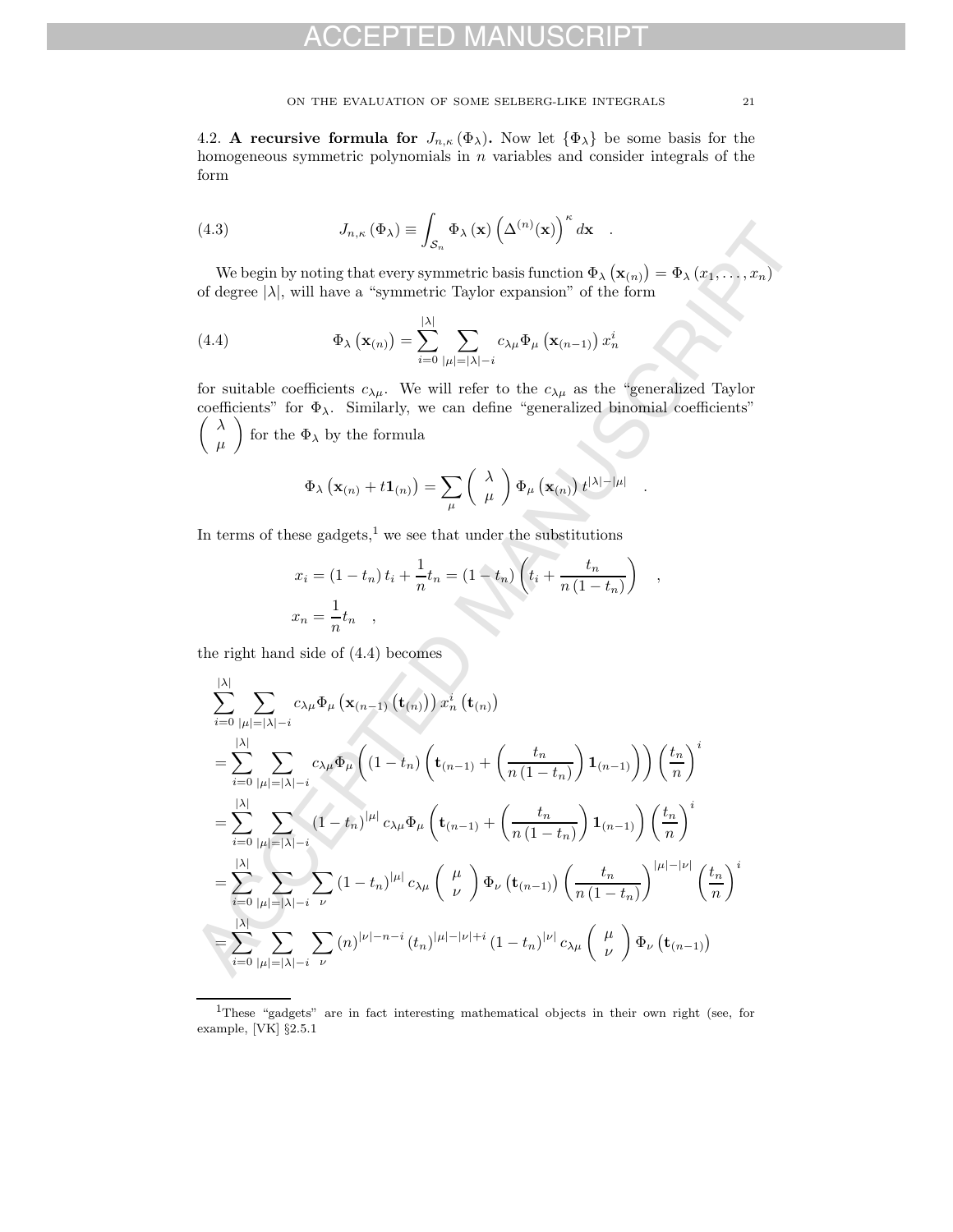4.2. **A recursive formula for**  $J_{n,\kappa}(\Phi_\lambda)$ . Now let  $\{\Phi_\lambda\}$  be some basis for the homogeneous symmetric polynomials in  $n$  variables and consider integrals of the form

(4.3) 
$$
J_{n,\kappa}(\Phi_{\lambda}) \equiv \int_{\mathcal{S}_n} \Phi_{\lambda}(\mathbf{x}) \left(\Delta^{(n)}(\mathbf{x})\right)^{\kappa} d\mathbf{x} .
$$

We begin by noting that every symmetric basis function  $\Phi_{\lambda}(\mathbf{x}_{(n)}) = \Phi_{\lambda}(x_1, \ldots, x_n)$ of degree  $|\lambda|$ , will have a "symmetric Taylor expansion" of the form

(4.4) 
$$
\Phi_{\lambda} \left( \mathbf{x}_{(n)} \right) = \sum_{i=0}^{|\lambda|} \sum_{|\mu|=|\lambda|-i} c_{\lambda \mu} \Phi_{\mu} \left( \mathbf{x}_{(n-1)} \right) x_n^i
$$

for suitable coefficients  $c_{\lambda\mu}$ . We will refer to the  $c_{\lambda\mu}$  as the "generalized Taylor  $\left( \begin{array}{c} \lambda \end{array} \right)$ coefficients" for  $\Phi_{\lambda}$ . Similarly, we can define "generalized binomial coefficients" μ  $\setminus$ for the  $\Phi_\lambda$  by the formula

$$
\Phi_{\lambda}\left(\mathbf{x}_{(n)}+t\mathbf{1}_{(n)}\right)=\sum_{\mu}\left(\begin{array}{c} \lambda \\ \mu \end{array}\right)\Phi_{\mu}\left(\mathbf{x}_{(n)}\right)t^{|\lambda|-|\mu|}.
$$

In terms of these gadgets, $\frac{1}{1}$  we see that under the substitutions

$$
x_i = (1 - t_n) t_i + \frac{1}{n} t_n = (1 - t_n) \left( t_i + \frac{t_n}{n (1 - t_n)} \right) ,
$$
  

$$
x_n = \frac{1}{n} t_n ,
$$

the right hand side of (4.4) becomes

(4.3) 
$$
J_{n,\kappa}(\Phi_{\lambda}) = \int_{S_n} \Phi_{\lambda}(\mathbf{x}) \left(\Delta^{(n)}(\mathbf{x})\right)^{n} d\mathbf{x}.
$$
 We begin by noting that every symmetric basis function  $\Phi_{\lambda}(\mathbf{x}_{(n)}) = \Phi_{\lambda}(x_1,...,x_n)$  of degree  $|\lambda|$ , will have a "symmetric Taylor expansion" of the form  
(4.4) 
$$
\Phi_{\lambda}(\mathbf{x}_{(n)}) = \sum_{i=0}^{|\lambda|} \sum_{|\mu|=|\lambda|-i} c_{\lambda\mu} \Phi_{\mu}(\mathbf{x}_{(n-1)}) x_n^i
$$
for suitable coefficients  $c_{\lambda\mu}$ . We will refer to the  $c_{\lambda\mu}$  as the "generalized Taylor coefficients" for  $\Phi_{\lambda}$ . Similarly, we can define "generalized binomial coefficients"  $\begin{pmatrix} \lambda \\ \mu \end{pmatrix}$  for the  $\Phi_{\lambda}$  by the formula 
$$
\Phi_{\lambda}(\mathbf{x}_{(n)} + t\mathbf{1}_{(n)}) = \sum_{\mu} \begin{pmatrix} \lambda \\ \mu \end{pmatrix} \Phi_{\mu}(\mathbf{x}_{(n)}) t^{|\lambda|-|\mu|}
$$
. In terms of these gadest,<sup>1</sup> we see that under the substitutions  $x_i = (1 - t_n) t_i + \frac{1}{n} t_n = (1 - t_n) \left( t_i + \frac{t_n}{n(1 - t_n)} \right)$ ,  $x_n = \frac{1}{n} t_n$ ,  
the right hand side of (4.4) becomes 
$$
\sum_{i=0}^{|\lambda|} \sum_{|\mu|=|\lambda|-i} c_{\lambda\mu} \Phi_{\mu}(\mathbf{x}_{(n-1)}(\mathbf{t}_{(n)})) x_n^i(\mathbf{t}_{(n)})
$$

$$
= \sum_{i=0}^{|\lambda|} \sum_{|\mu|=|\lambda|-i} c_{\lambda\mu} \Phi_{\mu}(\mathbf{1} - t_n) \left( \mathbf{t}_{(n-1)} + \left( \frac{t_n}{n(1 - t_n)} \right) \mathbf{1}_{(n-1)} \right) \left( \frac{t_n}{n} \right)^i
$$

$$
= \sum_{i=0}^{|\lambda|} \sum_{|\mu|=|\lambda|-i} (1 - t_n)^{|\mu|} c_{\lambda\mu} \Phi_{\mu}(\mathbf{t}_{(n-1)} + \left( \frac{t_n}{n(
$$

<sup>1</sup>These "gadgets" are in fact interesting mathematical objects in their own right (see, for example, [VK] §2.5.1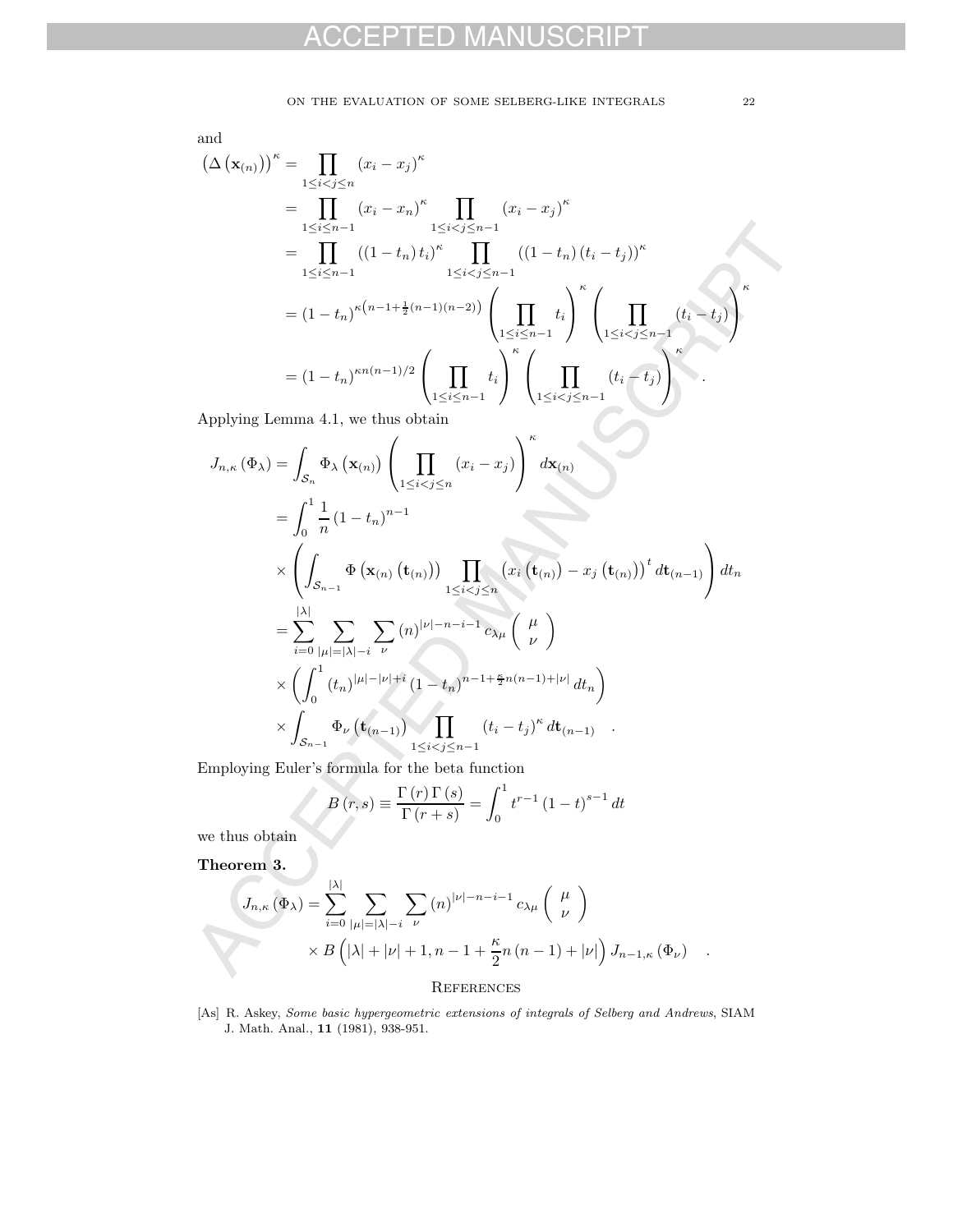and

$$
(\Delta (\mathbf{x}_{(n)}))^{\kappa} = \prod_{1 \leq i < j \leq n} (x_i - x_j)^{\kappa}
$$
\n
$$
= \prod_{1 \leq i \leq n-1} (x_i - x_n)^{\kappa} \prod_{1 \leq i < j \leq n-1} (x_i - x_j)^{\kappa}
$$
\n
$$
= \prod_{1 \leq i \leq n-1} ((1 - t_n) t_i)^{\kappa} \prod_{1 \leq i < j \leq n-1} ((1 - t_n) (t_i - t_j))^{\kappa}
$$
\n
$$
= (1 - t_n)^{\kappa (n-1 + \frac{1}{2}(n-1)(n-2))} \left( \prod_{1 \leq i < n-1} t_i \right)^{\kappa} \left( \prod_{1 \leq i < j \leq n-1} (t_i - t_j) \right)^{\kappa}
$$
\n
$$
= (1 - t_n)^{\kappa n (n-1)/2} \left( \prod_{1 \leq i < j \leq n-1} t_i \right)^{\kappa} \left( \prod_{1 \leq i < j \leq n-1} (t_i - t_j) \right)^{\kappa}
$$
\nAnorphism I curve. 4.1, we then obtain

Applying Lemma 4.1, we thus obtain

$$
\sum_{1 \leq i \leq n-1}^{1 \leq i \leq n-1} \frac{1 \leq i \leq j \leq n-1} {(1 - t_n) t_i)^{\kappa}} \prod_{1 \leq i \leq j \leq n-1} ((1 - t_n) (t_i - t_j))^{\kappa}
$$
\n
$$
= (1 - t_n)^{\kappa (n-1) + \frac{1}{2}(n-1)(n-2)} \left( \prod_{1 \leq i \leq n-1} t_i \right)^{\kappa} \left( \prod_{1 \leq i \leq j \leq n-1} (t_i - t_j) \right)^{\kappa}
$$
\n
$$
= (1 - t_n)^{\kappa n (n-1)/2} \left( \prod_{1 \leq i \leq n-1} t_i \right)^{\kappa} \left( \prod_{1 \leq i \leq j \leq n-1} (t_i - t_j) \right)^{\kappa}
$$
\nApplying Lemma 4.1, we thus obtain\n
$$
J_{n,\kappa}(\Phi_{\lambda}) = \int_{S_n} \Phi_{\lambda}(\mathbf{x}_{(n)}) \left( \prod_{1 \leq i \leq j \leq n} (x_i - x_j) \right)^{\kappa} d\mathbf{x}_{(n)}
$$
\n
$$
= \int_{0}^{1} \frac{1}{n} (1 - t_n)^{n-1}
$$
\n
$$
\times \left( \int_{S_{n-1}} \Phi(\mathbf{x}_{(n)} (t_{(n)})) \prod_{1 \leq i < j \leq n} (x_i (t_{(n)}) - x_j (t_{(n)}))^t d t_{(n-1)} \right) d t_n
$$
\n
$$
= \sum_{i=0}^{|\lambda|} \sum_{|\mu|=|\lambda|-i} \sum_{\mu} (n)^{|\nu|-n-i-1} c_{\lambda \mu} \left( \frac{\mu}{\nu} \right)
$$
\n
$$
\times \left( \int_{0}^{1} (t_n)^{|\mu|-|\nu|+i} (1 - t_n)^{n-1+\frac{\kappa}{2}n(n-1)+|\nu|} d t_n \right)
$$
\n
$$
\times \int_{S_{n-1}} \Phi_{\nu} (t_{(n-1)}) \prod_{1 \leq i < j \leq n-1} (t_i - t_j)^{\kappa} d t_{(n-1)} .
$$
\nEmployee Euler's formula for the beta function\n
$$
B(r,s) = \frac{\Gamma(r) \Gamma(s)}
$$

Employing Euler's formula for the beta function

$$
B(r,s) \equiv \frac{\Gamma(r)\Gamma(s)}{\Gamma(r+s)} = \int_0^1 t^{r-1} (1-t)^{s-1} dt
$$

we thus obtain

**Theorem 3.**

$$
J_{n,\kappa}(\Phi_{\lambda}) = \sum_{i=0}^{|\lambda|} \sum_{|\mu|=|\lambda|-i} \sum_{\nu} (n)^{|\nu|-n-i-1} c_{\lambda\mu} \begin{pmatrix} \mu \\ \nu \end{pmatrix}
$$

$$
\times B\left(|\lambda|+|\nu|+1, n-1+\frac{\kappa}{2}n(n-1)+|\nu|\right) J_{n-1,\kappa}(\Phi_{\nu}) .
$$

#### **REFERENCES**

[As] R. Askey, Some basic hypergeometric extensions of integrals of Selberg and Andrews, SIAM J. Math. Anal., **11** (1981), 938-951.